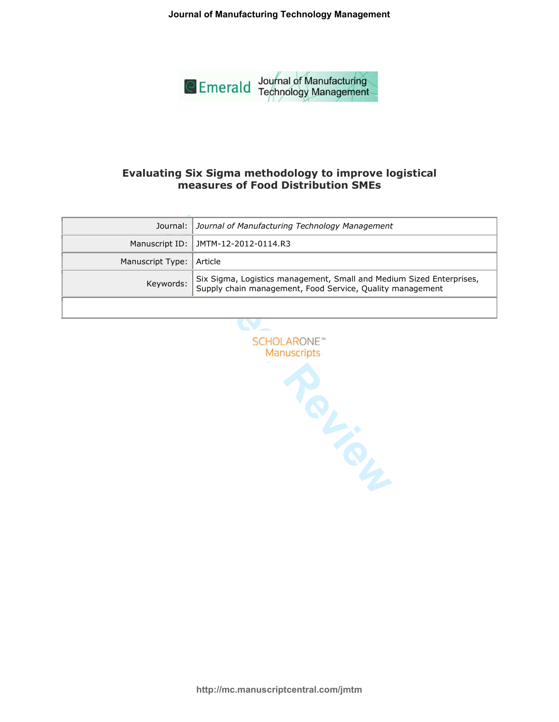**Journal of Manufacturing Technology Management**



## Evaluating Six Sigma methodology to improve logistical **measures of Food Distribution SMEs**

|                            | Journal: Journal of Manufacturing Technology Management                                                                        |
|----------------------------|--------------------------------------------------------------------------------------------------------------------------------|
|                            | Manuscript ID: JMTM-12-2012-0114.R3                                                                                            |
| Manuscript Type:   Article |                                                                                                                                |
| Keywords:                  | Six Sigma, Logistics management, Small and Medium Sized Enterprises, Supply chain management, Food Service, Quality management |
|                            |                                                                                                                                |

**SCHOLARONE**<sup>w</sup><br>Manuscripts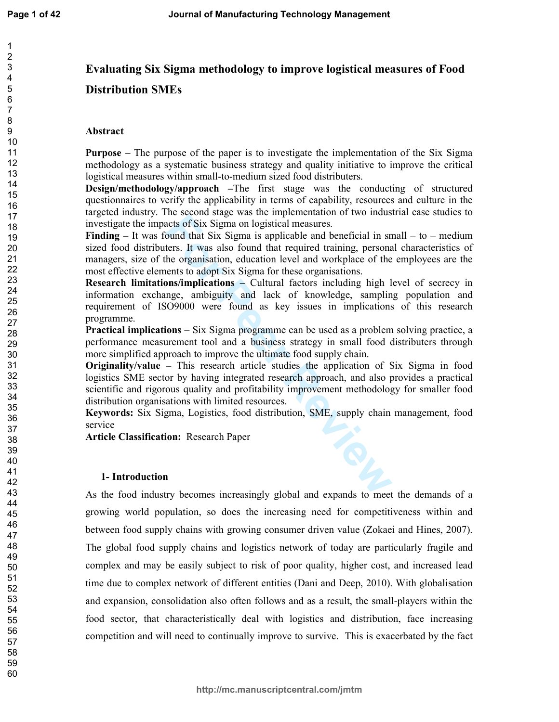# Evaluating Six Sigma methodology to improve logistical measures of Food **Distribution SMEs**

### **Abstract**

**Purpose** – The purpose of the paper is to investigate the implementation of the Six Sigma methodology as a systematic business strategy and quality initiative to improve the critical logistical measures within small-to-medium sized food distributers.

**Design/methodology/approach** - The first stage was the conducting of structured questionnaires to verify the applicability in terms of capability, resources and culture in the targeted industry. The second stage was the implementation of two industrial case studies to investigate the impacts of Six Sigma on logistical measures.

**Finding** – It was found that Six Sigma is applicable and beneficial in small – to – medium sized food distributers. It was also found that required training, personal characteristics of managers, size of the organisation, education level and workplace of the employees are the most effective elements to adopt Six Sigma for these organisations.

**Research limitations/implications – Cultural factors including high level of secrecy in** information exchange, ambiguity and lack of knowledge, sampling population and requirement of ISO9000 were found as key issues in implications of this research programme.

**Practical implications – Six Sigma programme can be used as a problem solving practice, a** performance measurement tool and a business strategy in small food distributers through more simplified approach to improve the ultimate food supply chain.

For Boxel and Sacret and Englished measures.<br>
The sector Six Sigma on logistical measures.<br>
Sound that Six Sigma is applicable and beneficial in sn<br>
ters. It was also found that required training, persona<br>
the organisation **Originality/value** – This research article studies the application of Six Sigma in food logistics SME sector by having integrated research approach, and also provides a practical scientific and rigorous quality and profitability improvement methodology for smaller food distribution organisations with limited resources.

Keywords: Six Sigma, Logistics, food distribution, SME, supply chain management, food service

**Article Classification: Research Paper** 

### 1-Introduction

As the food industry becomes increasingly global and expands to meet the demands of a growing world population, so does the increasing need for competitiveness within and between food supply chains with growing consumer driven value (Zokaei and Hines, 2007). The global food supply chains and logistics network of today are particularly fragile and complex and may be easily subject to risk of poor quality, higher cost, and increased lead time due to complex network of different entities (Dani and Deep, 2010). With globalisation and expansion, consolidation also often follows and as a result, the small-players within the food sector, that characteristically deal with logistics and distribution, face increasing competition and will need to continually improve to survive. This is exacerbated by the fact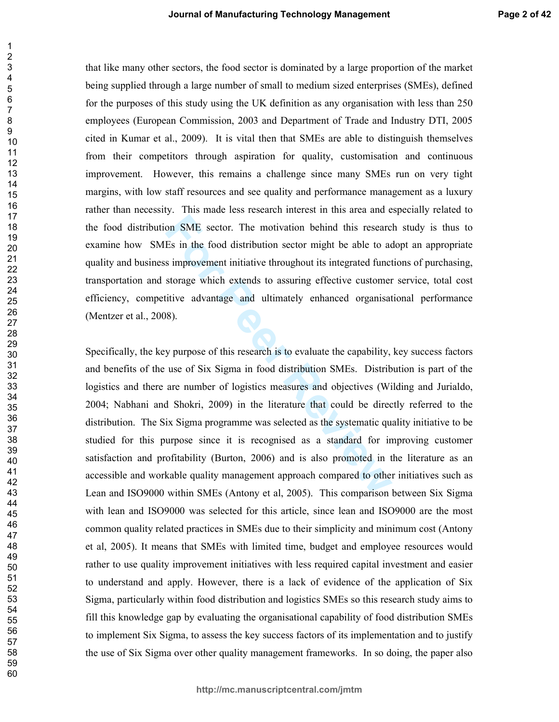that like many other sectors, the food sector is dominated by a large proportion of the market being supplied through a large number of small to medium sized enterprises (SMEs), defined for the purposes of this study using the UK definition as any organisation with less than employees (European Commission, 2003 and Department of Trade and Industry DTI, 2005 cited in Kumar et al., ). It is vital then that SMEs are able to distinguish themselves from their competitors through aspiration for quality, customisation and continuous improvement. However, this remains a challenge since many SMEs run on very tight margins, with low staff resources and see quality and performance management as a luxury rather than necessity. This made less research interest in this area and especially related to the food distribution SME sector. The motivation behind this research study is thus to examine how SMEs in the food distribution sector might be able to adopt an appropriate quality and business improvement initiative throughout its integrated functions of purchasing, transportation and storage which extends to assuring effective customer service, total cost efficiency, competitive advantage and ultimately enhanced organisational performance (Mentzer et al., ).

on SME sector. The motivation behind this researcles in the food distribution sector might be able to act in the food distribution sector might be able to act in survey involvement initiative throughout its integrated func Specifically, the key purpose of this research is to evaluate the capability, key success factors and benefits of the use of Six Sigma in food distribution SMEs. Distribution is part of the logistics and there are number of logistics measures and objectives (Wilding and Jurialdo, 2004; Nabhani and Shokri, 2009) in the literature that could be directly referred to the distribution. The Six Sigma programme was selected as the systematic quality initiative to be studied for this purpose since it is recognised as a standard for improving customer satisfaction and profitability (Burton, 2006) and is also promoted in the literature as an accessible and workable quality management approach compared to other initiatives such as Lean and ISO9000 within SMEs (Antony et al, 2005). This comparison between Six Sigma with lean and ISO9000 was selected for this article, since lean and ISO9000 are the most common quality related practices in SMEs due to their simplicity and minimum cost (Antony et al, 2005). It means that SMEs with limited time, budget and employee resources would rather to use quality improvement initiatives with less required capital investment and easier to understand and apply. However, there is a lack of evidence of the application of Six Sigma, particularly within food distribution and logistics SMEs so this research study aims to fill this knowledge gap by evaluating the organisational capability of food distribution SMEs to implement Six Sigma, to assess the key success factors of its implementation and to justify the use of Six Sigma over other quality management frameworks. In so doing, the paper also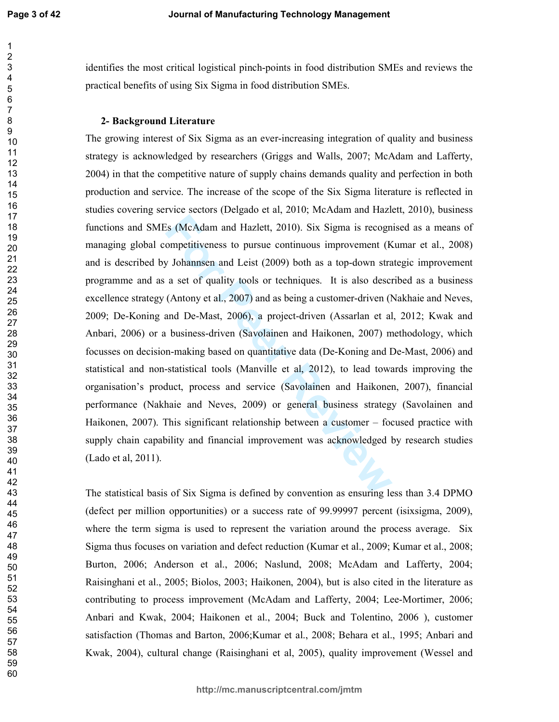identifies the most critical logistical pinch-points in food distribution SMEs and reviews the practical benefits of using Six Sigma in food distribution SMEs.

### 2- Background Literature

The growing interest of Six Sigma as an ever-increasing integration of quality and business strategy is acknowledged by researchers (Griggs and Walls, 2007; McAdam and Lafferty, 2004) in that the competitive nature of supply chains demands quality and perfection in both production and service. The increase of the scope of the Six Sigma literature is reflected in studies covering service sectors (Delgado et al, 2010; McAdam and Hazlett, 2010), business functions and SMEs (McAdam and Hazlett, 2010). Six Sigma is recognised as a means of managing global competitiveness to pursue continuous improvement (Kumar et al., 2008) and is described by Johannsen and Leist (2009) both as a top-down strategic improvement programme and as a set of quality tools or techniques. It is also described as a business excellence strategy (Antony et al., 2007) and as being a customer-driven (Nakhaie and Neves, 2009; De-Koning and De-Mast, 2006), a project-driven (Assarlan et al, 2012; Kwak and Anbari, 2006) or a business-driven (Savolainen and Haikonen, 2007) methodology, which focusses on decision-making based on quantitative data (De-Koning and De-Mast, 2006) and statistical and non-statistical tools (Manville et al. 2012), to lead towards improving the organisation's product, process and service (Savolainen and Haikonen, 2007), financial performance (Nakhaie and Neves, 2009) or general business strategy (Savolainen and Haikonen, 2007). This significant relationship between a customer – focused practice with supply chain capability and financial improvement was acknowledged by research studies (Lado et al, 2011).

The statistical basis of Six Sigma is defined by convention as ensuring less than 3.4 DPMO (defect per million opportunities) or a success rate of 99.99997 percent (isixsigma, 2009), where the term sigma is used to represent the variation around the process average. Six Sigma thus focuses on variation and defect reduction (Kumar et al., 2009; Kumar et al., 2008; Burton, 2006; Anderson et al., 2006; Naslund, 2008; McAdam and Lafferty, 2004; Raisinghani et al., 2005; Biolos, 2003; Haikonen, 2004), but is also cited in the literature as contributing to process improvement (McAdam and Lafferty, 2004; Lee-Mortimer, 2006; Anbari and Kwak, 2004; Haikonen et al., 2004; Buck and Tolentino, 2006), customer satisfaction (Thomas and Barton, 2006; Kumar et al., 2008; Behara et al., 1995; Anbari and Kwak, 2004), cultural change (Raisinghani et al. 2005), quality improvement (Wessel and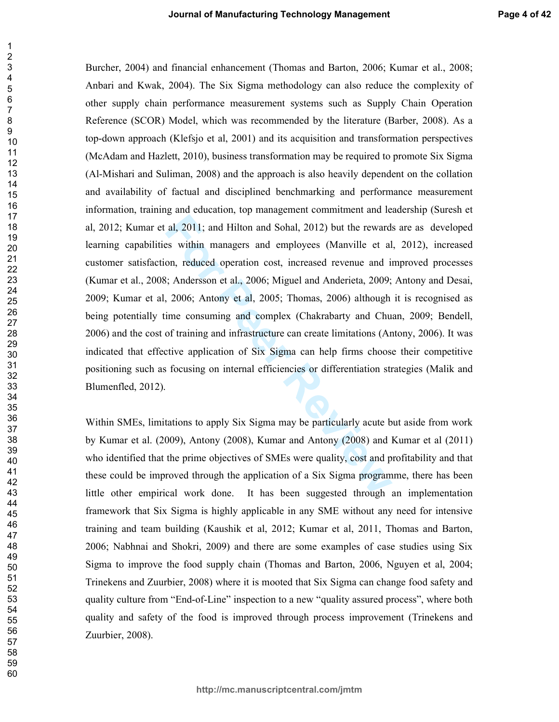**Example 10** and Hilton and Sohal, 2012) but the rewards<br> **Formula Example 10** and Hilton and Sohal, 2012) but the rewards<br> **Formula Example 10** and employees (Manville et al<br> **Formula Example 11** and Andericta, 2009;<br> **Fo** Burcher, 2004) and financial enhancement (Thomas and Barton, 2006; Kumar et al., 2008; Anbari and Kwak, 2004). The Six Sigma methodology can also reduce the complexity of other supply chain performance measurement systems such as Supply Chain Operation Reference (SCOR) Model, which was recommended by the literature (Barber, 2008). As a top-down approach (Klefsjo et al, 2001) and its acquisition and transformation perspectives (McAdam and Hazlett, 2010), business transformation may be required to promote Six Sigma (Al-Mishari and Suliman, 2008) and the approach is also heavily dependent on the collation and availability of factual and disciplined benchmarking and performance measurement information, training and education, top management commitment and leadership (Suresh et al, ; Kumar et al,  $2011$ ; and Hilton and Sohal,  $2012$ ) but the rewards are as developed learning capabilities within managers and employees (Manville et al, 2012), increased customer satisfaction, reduced operation cost, increased revenue and improved processes (Kumar et al., 2008; Andersson et al., 2006; Miguel and Anderieta, 2009; Antony and Desai, 2009; Kumar et al, 2006; Antony et al, 2005; Thomas, 2006) although it is recognised as being potentially time consuming and complex (Chakrabarty and Chuan, 2009; Bendell, 2006) and the cost of training and infrastructure can create limitations (Antony, 2006). It was indicated that effective application of Six Sigma can help firms choose their competitive positioning such as focusing on internal efficiencies or differentiation strategies (Malik and Blumenfled, 2012).

Within SMEs, limitations to apply Six Sigma may be particularly acute but aside from work by Kumar et al. (2009), Antony (2008), Kumar and Antony (2008) and Kumar et al (2011) who identified that the prime objectives of SMEs were quality, cost and profitability and that these could be improved through the application of a Six Sigma programme, there has been little other empirical work done. It has been suggested through an implementation framework that Six Sigma is highly applicable in any SME without any need for intensive training and team building (Kaushik et al, 2012; Kumar et al, 2011, Thomas and Barton, 2006; Nabhnai and Shokri, 2009) and there are some examples of case studies using Six Sigma to improve the food supply chain (Thomas and Barton, 2006, Nguyen et al, 2004; Trinekens and Zuurbier, 2008) where it is mooted that Six Sigma can change food safety and quality culture from "End-of-Line" inspection to a new "quality assured process", where both quality and safety of the food is improved through process improvement (Trinekens and Zuurbier, 2008).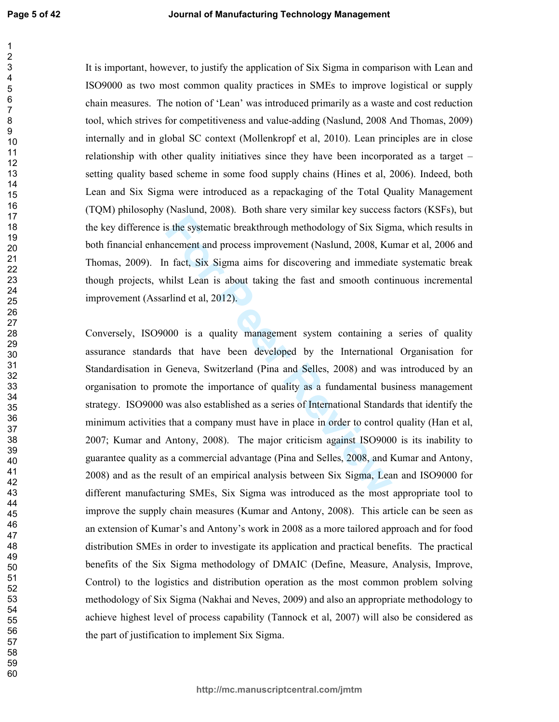$\overline{2}$ 

It is important, however, to justify the application of Six Sigma in comparison with Lean and ISO9000 as two most common quality practices in SMEs to improve logistical or supply chain measures. The notion of 'Lean' was introduced primarily as a waste and cost reduction tool, which strives for competitiveness and value-adding (Naslund, 2008 And Thomas, 2009) internally and in global SC context (Mollenkropf et al, 2010). Lean principles are in close relationship with other quality initiatives since they have been incorporated as a target – setting quality based scheme in some food supply chains (Hines et al, 2006). Indeed, both Lean and Six Sigma were introduced as a repackaging of the Total Quality Management (TQM) philosophy (Naslund, 2008). Both share very similar key success factors (KSFs), but the key difference is the systematic breakthrough methodology of Six Sigma, which results in both financial enhancement and process improvement (Naslund, 2008, Kumar et al, 2006 and Thomas, 2009). In fact, Six Sigma aims for discovering and immediate systematic break though projects, whilst Lean is about taking the fast and smooth continuous incremental improvement (Assarlind et al, 2012).

is the systematic breakthrough methodology of Six Sign<br>ncement and process improvement (Naslund, 2008, Ku<br>n fact, Six Sigma aims for discovering and immediat<br>hilst Lean is about taking the fast and smooth conti<br>rlind et al Conversely, ISO9000 is a quality management system containing a series of quality assurance standards that have been developed by the International Organisation for Standardisation in Geneva, Switzerland (Pina and Selles, 2008) and was introduced by an organisation to promote the importance of quality as a fundamental business management strategy. ISO9000 was also established as a series of International Standards that identify the minimum activities that a company must have in place in order to control quality (Han et al. 2007; Kumar and Antony, 2008). The major criticism against ISO9000 is its inability to guarantee quality as a commercial advantage (Pina and Selles, 2008, and Kumar and Antony, 2008) and as the result of an empirical analysis between Six Sigma, Lean and ISO9000 for different manufacturing SMEs, Six Sigma was introduced as the most appropriate tool to improve the supply chain measures (Kumar and Antony, 2008). This article can be seen as an extension of Kumar's and Antony's work in 2008 as a more tailored approach and for food distribution SMEs in order to investigate its application and practical benefits. The practical benefits of the Six Sigma methodology of DMAIC (Define, Measure, Analysis, Improve, Control) to the logistics and distribution operation as the most common problem solving methodology of Six Sigma (Nakhai and Neves, 2009) and also an appropriate methodology to achieve highest level of process capability (Tannock et al, 2007) will also be considered as the part of justification to implement Six Sigma.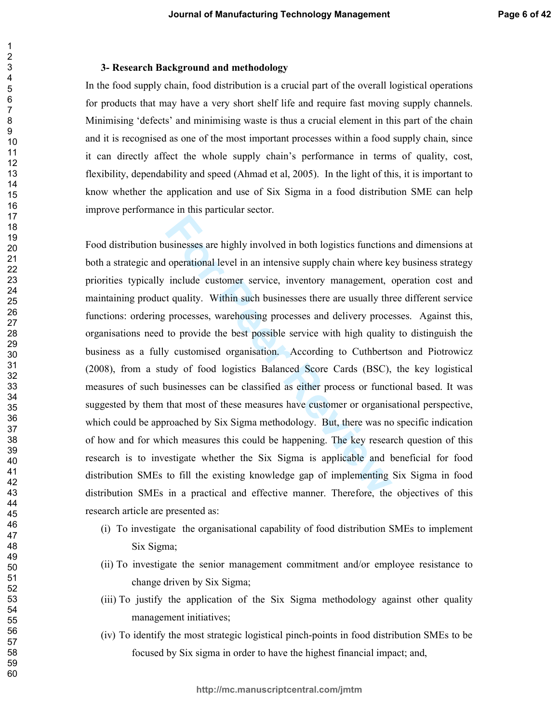### 3- Research Background and methodology

In the food supply chain, food distribution is a crucial part of the overall logistical operations for products that may have a very short shelf life and require fast moving supply channels. Minimising 'defects' and minimising waste is thus a crucial element in this part of the chain and it is recognised as one of the most important processes within a food supply chain, since it can directly affect the whole supply chain's performance in terms of quality, cost, flexibility, dependability and speed (Ahmad et al, 2005). In the light of this, it is important to know whether the application and use of Six Sigma in a food distribution SME can help improve performance in this particular sector.

**Follow Theory** involved in both logistics functions<br>
in operational level in an intensive supply chain where ke<br>
include customer service, inventory management, at<br>
include customer service, inventory management, at<br>
incl Food distribution businesses are highly involved in both logistics functions and dimensions at both a strategic and operational level in an intensive supply chain where key business strategy priorities typically include customer service, inventory management, operation cost and maintaining product quality. Within such businesses there are usually three different service functions: ordering processes, warehousing processes and delivery processes. Against this, organisations need to provide the best possible service with high quality to distinguish the business as a fully customised organisation. According to Cuthbertson and Piotrowicz (2008), from a study of food logistics Balanced Score Cards (BSC), the key logistical measures of such businesses can be classified as either process or functional based. It was suggested by them that most of these measures have customer or organisational perspective, which could be approached by Six Sigma methodology. But, there was no specific indication of how and for which measures this could be happening. The key research question of this research is to investigate whether the Six Sigma is applicable and beneficial for food distribution SMEs to fill the existing knowledge gap of implementing Six Sigma in food distribution SMEs in a practical and effective manner. Therefore, the objectives of this research article are presented as:

- (i) To investigate the organisational capability of food distribution SMEs to implement Six Sigma;
- (ii) To investigate the senior management commitment and/or employee resistance to change driven by Six Sigma;
- (iii) To justify the application of the Six Sigma methodology against other quality management initiatives;
- (iv) To identify the most strategic logistical pinch-points in food distribution SMEs to be focused by Six sigma in order to have the highest financial impact; and,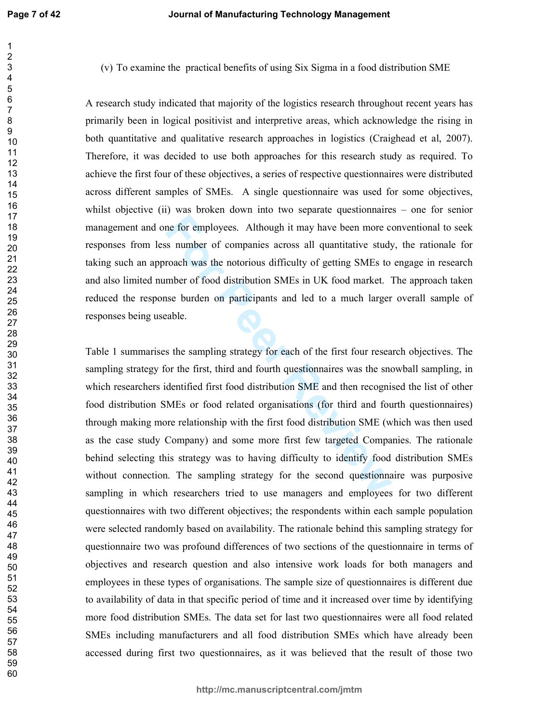### $(v)$  To examine the practical benefits of using Six Sigma in a food distribution SME

A research study indicated that majority of the logistics research throughout recent years has primarily been in logical positivist and interpretive areas, which acknowledge the rising in both quantitative and qualitative research approaches in logistics (Craighead et al. 2007). Therefore, it was decided to use both approaches for this research study as required. To achieve the first four of these objectives, a series of respective questionnaires were distributed across different samples of SMEs. A single questionnaire was used for some objectives, whilst objective (ii) was broken down into two separate questionnaires  $-$  one for senior management and one for employees. Although it may have been more conventional to seek responses from less number of companies across all quantitative study, the rationale for taking such an approach was the notorious difficulty of getting SMEs to engage in research and also limited number of food distribution SMEs in UK food market. The approach taken reduced the response burden on participants and led to a much larger overall sample of responses being useable.

ne for employees. Although it may have been more coss number of companies across all quantitative study roach was the notorious difficulty of getting SMEs to mber of food distribution SMEs in UK food market. The burden on Table 1 summarises the sampling strategy for each of the first four research objectives. The sampling strategy for the first, third and fourth questionnaires was the snowball sampling, in which researchers identified first food distribution SME and then recognised the list of other food distribution SMEs or food related organisations (for third and fourth questionnaires) through making more relationship with the first food distribution SME (which was then used as the case study Company) and some more first few targeted Companies. The rationale behind selecting this strategy was to having difficulty to identify food distribution SMEs without connection. The sampling strategy for the second questionnaire was purposive sampling in which researchers tried to use managers and employees for two different questionnaires with two different objectives; the respondents within each sample population were selected randomly based on availability. The rationale behind this sampling strategy for questionnaire two was profound differences of two sections of the questionnaire in terms of objectives and research question and also intensive work loads for both managers and employees in these types of organisations. The sample size of questionnaires is different due to availability of data in that specific period of time and it increased over time by identifying more food distribution SMEs. The data set for last two questionnaires were all food related SMEs including manufacturers and all food distribution SMEs which have already been accessed during first two questionnaires, as it was believed that the result of those two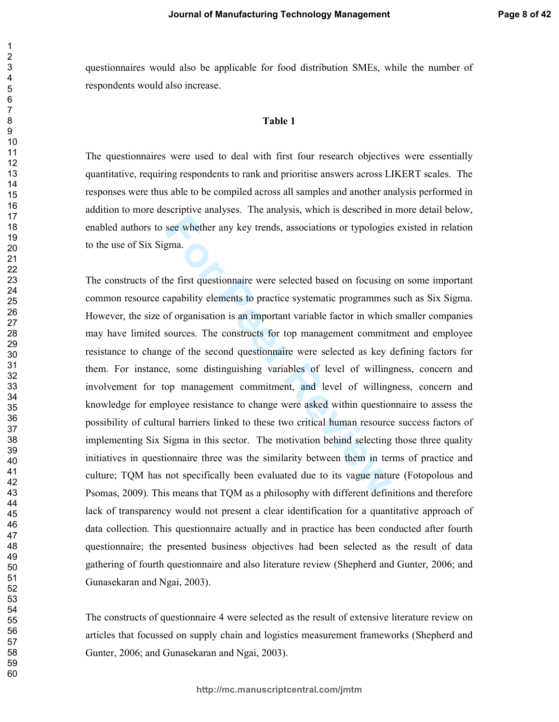questionnaires would also be applicable for food distribution SMEs, while the number of respondents would also increase.

### **. &**

The questionnaires were used to deal with first four research objectives were essentially quantitative, requiring respondents to rank and prioritise answers across LIKERT scales. The responses were thus able to be compiled across all samples and another analysis performed in addition to more descriptive analyses. The analysis, which is described in more detail below, enabled authors to see whether any key trends, associations or typologies existed in relation to the use of Six Sigma.

**For All the System System System System System System System System System System System System System System System System System System System System System System System System System System System System System System** The constructs of the first questionnaire were selected based on focusing on some important common resource capability elements to practice systematic programmes such as Six Sigma. However, the size of organisation is an important variable factor in which smaller companies may have limited sources. The constructs for top management commitment and employee resistance to change of the second questionnaire were selected as key defining factors for them. For instance, some distinguishing variables of level of willingness, concern and involvement for top management commitment, and level of willingness, concern and knowledge for employee resistance to change were asked within questionnaire to assess the possibility of cultural barriers linked to these two critical human resource success factors of implementing Six Sigma in this sector. The motivation behind selecting those three quality initiatives in questionnaire three was the similarity between them in terms of practice and culture; TQM has not specifically been evaluated due to its vague nature (Fotopolous and Psomas, 2009). This means that TQM as a philosophy with different definitions and therefore lack of transparency would not present a clear identification for a quantitative approach of data collection. This questionnaire actually and in practice has been conducted after fourth questionnaire; the presented business objectives had been selected as the result of data gathering of fourth questionnaire and also literature review (Shepherd and Gunter, 2006; and Gunasekaran and Ngai, 2003).

The constructs of questionnaire 4 were selected as the result of extensive literature review on articles that focussed on supply chain and logistics measurement frameworks (Shepherd and Gunter, 2006; and Gunasekaran and Ngai, 2003).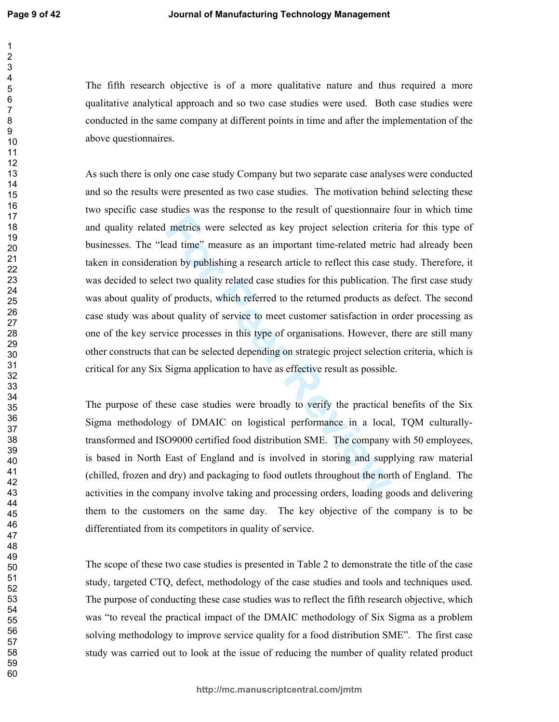The fifth research objective is of a more qualitative nature and thus required a more qualitative analytical approach and so two case studies were used. Both case studies were conducted in the same company at different points in time and after the implementation of the above questionnaires.

metrics were selected as key project selection criter<br>aad time" measure as an important time-related metric<br>ion by publishing a research article to reflect this case<br>ct two quality related case studies for this publication As such there is only one case study Company but two separate case analyses were conducted and so the results were presented as two case studies. The motivation behind selecting these two specific case studies was the response to the result of questionnaire four in which time and quality related metrics were selected as key project selection criteria for this type of businesses. The "lead time" measure as an important time-related metric had already been taken in consideration by publishing a research article to reflect this case study. Therefore, it was decided to select two quality related case studies for this publication. The first case study was about quality of products, which referred to the returned products as defect. The second case study was about quality of service to meet customer satisfaction in order processing as one of the key service processes in this type of organisations. However, there are still many other constructs that can be selected depending on strategic project selection criteria, which is critical for any Six Sigma application to have as effective result as possible.

The purpose of these case studies were broadly to verify the practical benefits of the Six Sigma methodology of DMAIC on logistical performance in a local, TQM culturallytransformed and ISO9000 certified food distribution SME. The company with 50 employees, is based in North East of England and is involved in storing and supplying raw material (chilled, frozen and dry) and packaging to food outlets throughout the north of England. The activities in the company involve taking and processing orders, loading goods and delivering them to the customers on the same day. The key objective of the company is to be differentiated from its competitors in quality of service.

The scope of these two case studies is presented in Table 2 to demonstrate the title of the case study, targeted CTQ, defect, methodology of the case studies and tools and techniques used. The purpose of conducting these case studies was to reflect the fifth research objective, which was "to reveal the practical impact of the DMAIC methodology of Six Sigma as a problem solving methodology to improve service quality for a food distribution SME". The first case study was carried out to look at the issue of reducing the number of quality related product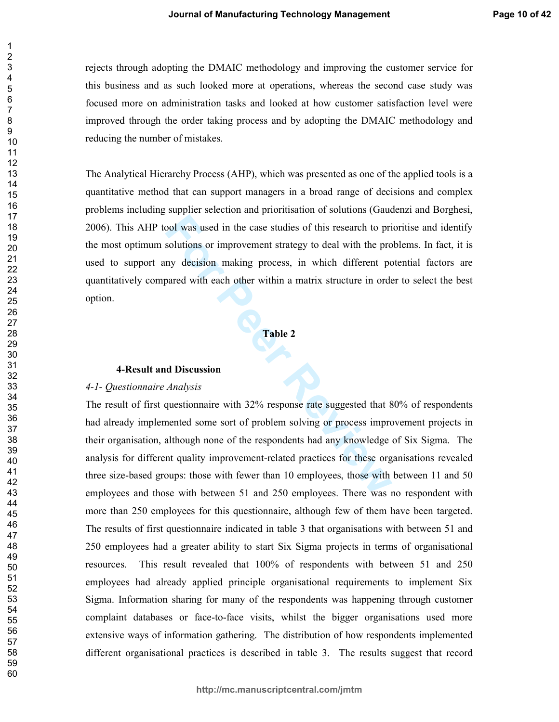rejects through adopting the DMAIC methodology and improving the customer service for this business and as such looked more at operations, whereas the second case study was focused more on administration tasks and looked at how customer satisfaction level were improved through the order taking process and by adopting the DMAIC methodology and reducing the number of mistakes.

The Analytical Hierarchy Process (AHP), which was presented as one of the applied tools is a quantitative method that can support managers in a broad range of decisions and complex problems including supplier selection and prioritisation of solutions (Gaudenzi and Borghesi, 2006). This AHP tool was used in the case studies of this research to prioritise and identify the most optimum solutions or improvement strategy to deal with the problems. In fact, it is used to support any decision making process, in which different potential factors are quantitatively compared with each other within a matrix structure in order to select the best option.

### **Table 2**

### **4-Result and Discussion**

### 4-1- Questionnaire Analysis

For the case studies of this research to pri<br> **For Solutions** or improvement strategy to deal with the pro<br>
my decision making process, in which different po<br>
pared with each other within a matrix structure in orde<br> **Fable** The result of first questionnaire with  $32\%$  response rate suggested that  $80\%$  of respondents had already implemented some sort of problem solving or process improvement projects in their organisation, although none of the respondents had any knowledge of Six Sigma. The analysis for different quality improvement-related practices for these organisations revealed three size-based groups: those with fewer than employees, those with between  $11$  and  $50$ employees and those with between 51 and 250 employees. There was no respondent with more than 250 employees for this questionnaire, although few of them have been targeted. The results of first questionnaire indicated in table 3 that organisations with between 51 and 250 employees had a greater ability to start Six Sigma projects in terms of organisational resources. his result revealed that 100% of respondents with between 51 and 250 employees had already applied principle organisational requirements to implement Six Sigma. Information sharing for many of the respondents was happening through customer complaint databases or face-to-face visits, whilst the bigger organisations used more extensive ways of information gathering. The distribution of how respondents implemented different organisational practices is described in table 3. The results suggest that record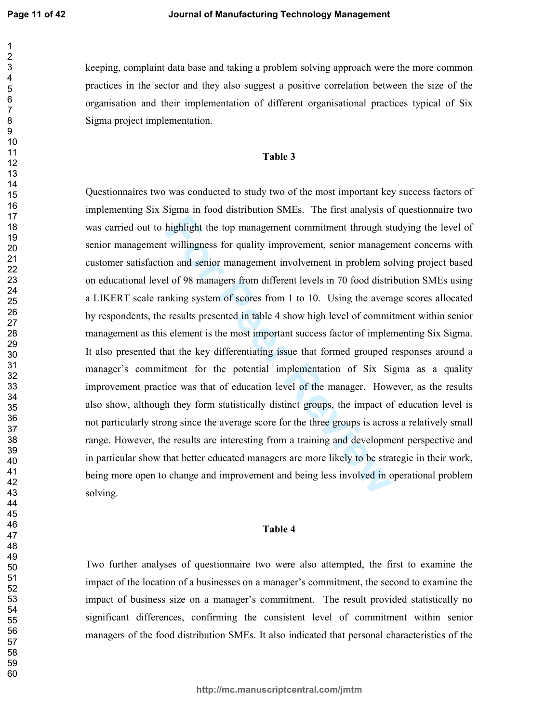keeping, complaint data base and taking a problem solving approach were the more common practices in the sector and they also suggest a positive correlation between the size of the organisation and their implementation of different organisational practices typical of Six Sigma project implementation.

### **. -**

**Fourthally EXEC THE TENDED THEOTER CONTERN THEOTER SET CONDED AND A SURFRENT CONDED A CHARGE STATE THIGHT AND THEOREM SURFRENT CONTERN THIG SYSTEM OF SCALE THIGHT AND SURFRENT THIG SYSTEM OF SCALE THIGHT AND SURFRENT AIDS** Questionnaires two was conducted to study two of the most important key success factors of implementing Six Sigma in food distribution SMEs. The first analysis of questionnaire two was carried out to highlight the top management commitment through studying the level of senior management willingness for quality improvement, senior management concerns with customer satisfaction and senior management involvement in problem solving project based on educational level of 98 managers from different levels in 70 food distribution SMEs using a LIKERT scale ranking system of scores from 1 to 10. Using the average scores allocated by respondents, the results presented in table 4 show high level of commitment within senior management as this element is the most important success factor of implementing Six Sigma. It also presented that the key differentiating issue that formed grouped responses around a manager's commitment for the potential implementation of Six Sigma as a quality improvement practice was that of education level of the manager. However, as the results also show, although they form statistically distinct groups, the impact of education level is not particularly strong since the average score for the three groups is across a relatively small range. However, the results are interesting from a training and development perspective and in particular show that better educated managers are more likely to be strategic in their work, being more open to change and improvement and being less involved in operational problem solving.

### **. /**

Two further analyses of questionnaire two were also attempted, the first to examine the impact of the location of a businesses on a manager's commitment, the second to examine the impact of business size on a manager's commitment. The result provided statistically no significant differences, confirming the consistent level of commitment within senior managers of the food distribution SMEs. It also indicated that personal characteristics of the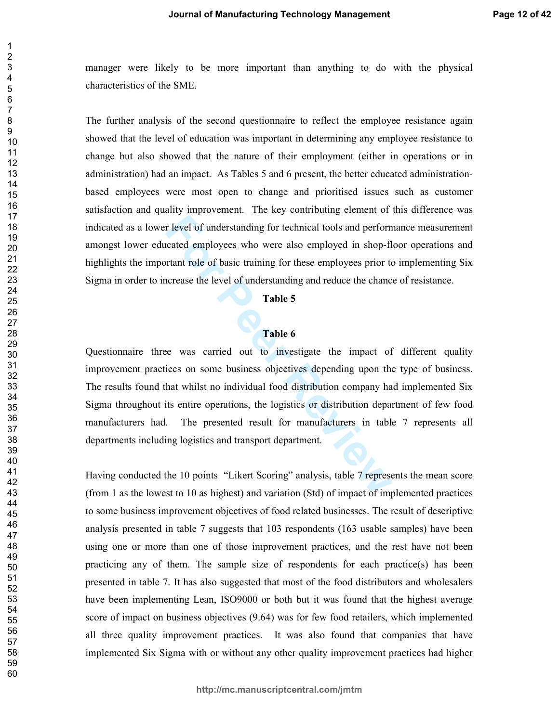manager were likely to be more important than anything to do with the physical characteristics of the SME.

The further analysis of the second questionnaire to reflect the employee resistance again showed that the level of education was important in determining any employee resistance to change but also showed that the nature of their employment (either in operations or in administration) had an impact. As Tables 5 and 6 present, the better educated administrationbased employees were most open to change and prioritised issues such as customer satisfaction and quality improvement. The key contributing element of this difference was indicated as a lower level of understanding for technical tools and performance measurement amongst lower educated employees who were also employed in shop-floor operations and highlights the important role of basic training for these employees prior to implementing Six Sigma in order to increase the level of understanding and reduce the chance of resistance.

### Table 5

### **Table 6**

**F** level of understanding for technical tools and perform<br> **Formally and the end of basic training** for these employees prior to<br> **France Alternal reviews** the level of understanding and reduce the chance<br> **Fable 5**<br> **Fab** Questionnaire three was carried out to investigate the impact of different quality improvement practices on some business objectives depending upon the type of business. The results found that whilst no individual food distribution company had implemented Six Sigma throughout its entire operations, the logistics or distribution department of few food manufacturers had. The presented result for manufacturers in table 7 represents all departments including logistics and transport department.

Having conducted the 10 points "Likert Scoring" analysis, table 7 represents the mean score (from 1 as the lowest to 10 as highest) and variation (Std) of impact of implemented practices to some business improvement objectives of food related businesses. The result of descriptive analysis presented in table 7 suggests that respondents  $(163 \text{ usable samples})$  have been using one or more than one of those improvement practices, and the rest have not been practicing any of them. The sample size of respondents for each practice(s) has been presented in table 7. It has also suggested that most of the food distributors and wholesalers have been implementing Lean, ISO9000 or both but it was found that the highest average score of impact on business objectives (9.64) was for few food retailers, which implemented all three quality improvement practices. It was also found that companies that have implemented Six Sigma with or without any other quality improvement practices had higher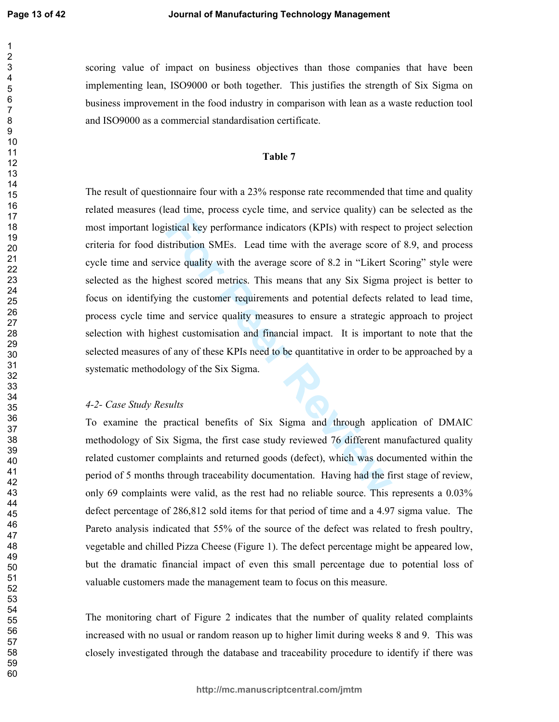**Page 13 of 42**

scoring value of impact on business objectives than those companies that have been implementing lean, ISO9000 or both together. This justifies the strength of Six Sigma on business improvement in the food industry in comparison with lean as a waste reduction tool and ISO9000 as a commercial standardisation certificate.

### **. 2**

istical key performance indicators (KPIs) with respect<br>stribution SMEs. Lead time with the average score of<br>vice quality with the average score of 8.2 in "Likert S<br>hest scored metrics. This means that any Six Sigma<br>g the c The result of questionnaire four with a 23% response rate recommended that time and quality related measures (lead time, process cycle time, and service quality) can be selected as the most important logistical key performance indicators (KPIs) with respect to project selection criteria for food distribution SMEs. Lead time with the average score of  $8.9$ , and process cycle time and service quality with the average score of 8.2 in "Likert Scoring" style were selected as the highest scored metrics. This means that any Six Sigma project is better to focus on identifying the customer requirements and potential defects related to lead time, process cycle time and service quality measures to ensure a strategic approach to project selection with highest customisation and financial impact. It is important to note that the selected measures of any of these KPIs need to be quantitative in order to be approached by a systematic methodology of the Six Sigma.

### 4-2- Case Study Results

To examine the practical benefits of Six Sigma and through application of DMAIC methodology of Six Sigma, the first case study reviewed 76 different manufactured quality related customer complaints and returned goods (defect), which was documented within the period of 5 months through traceability documentation. Having had the first stage of review, only 69 complaints were valid, as the rest had no reliable source. This represents a 0.03% defect percentage of  $286,812$  sold items for that period of time and a 4.97 sigma value. The Pareto analysis indicated that 55% of the source of the defect was related to fresh poultry, vegetable and chilled Pizza Cheese (Figure 1). The defect percentage might be appeared low, but the dramatic financial impact of even this small percentage due to potential loss of valuable customers made the management team to focus on this measure.

The monitoring chart of Figure 2 indicates that the number of quality related complaints increased with no usual or random reason up to higher limit during weeks 8 and 9. This was closely investigated through the database and traceability procedure to identify if there was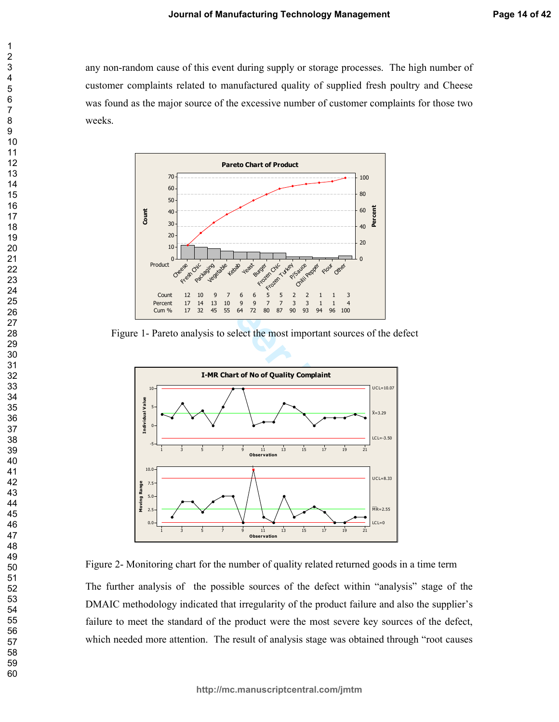any non-random cause of this event during supply or storage processes. The high number of customer complaints related to manufactured quality of supplied fresh poultry and Cheese was found as the major source of the excessive number of customer complaints for those two weeks.



Figure 1- Pareto analysis to select the most important sources of the defect



Figure 2- Monitoring chart for the number of quality related returned goods in a time term

The further analysis of the possible sources of the defect within "analysis" stage of the DMAIC methodology indicated that irregularity of the product failure and also the supplier's failure to meet the standard of the product were the most severe key sources of the defect, which needed more attention. The result of analysis stage was obtained through "root causes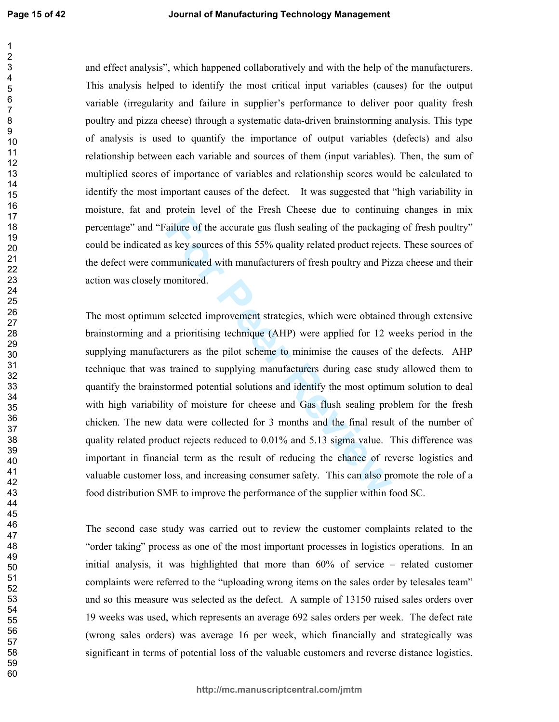and effect analysis", which happened collaboratively and with the help of the manufacturers. This analysis helped to identify the most critical input variables (causes) for the output variable (irregularity and failure in supplier's performance to deliver poor quality fresh poultry and pizza cheese) through a systematic data-driven brainstorming analysis. This type of analysis is used to quantify the importance of output variables (defects) and also relationship between each variable and sources of them (input variables). Then, the sum of multiplied scores of importance of variables and relationship scores would be calculated to identify the most important causes of the defect. It was suggested that "high variability in moisture, fat and protein level of the Fresh Cheese due to continuing changes in mix percentage" and "Failure of the accurate gas flush sealing of the packaging of fresh poultry" could be indicated as key sources of this 55% quality related product rejects. These sources of the defect were communicated with manufacturers of fresh poultry and Pizza cheese and their action was closely monitored.

<sup>1</sup><br>
For all the accurate gas flush sealing of the packagin<br>
For all the sacure of this 55% quality related product reject<br>
Immunicated with manufacturers of fresh poultry and Piz<br>
monitored.<br>
Selected improvement strategi The most optimum selected improvement strategies, which were obtained through extensive brainstorming and a prioritising technique (AHP) were applied for 12 weeks period in the supplying manufacturers as the pilot scheme to minimise the causes of the defects. AHP technique that was trained to supplying manufacturers during case study allowed them to quantify the brainstormed potential solutions and identify the most optimum solution to deal with high variability of moisture for cheese and Gas flush sealing problem for the fresh chicken. The new data were collected for 3 months and the final result of the number of quality related product rejects reduced to  $0.01\%$  and  $5.13$  sigma value. This difference was important in financial term as the result of reducing the chance of reverse logistics and valuable customer loss, and increasing consumer safety. This can also promote the role of a food distribution SME to improve the performance of the supplier within food SC.

The second case study was carried out to review the customer complaints related to the "order taking" process as one of the most important processes in logistics operations. In an initial analysis, it was highlighted that more than 60% of service – related customer complaints were referred to the "uploading wrong items on the sales order by telesales team" and so this measure was selected as the defect. A sample of 13150 raised sales orders over 19 weeks was used, which represents an average 692 sales orders per week. The defect rate (wrong sales orders) was average 16 per week, which financially and strategically was significant in terms of potential loss of the valuable customers and reverse distance logistics.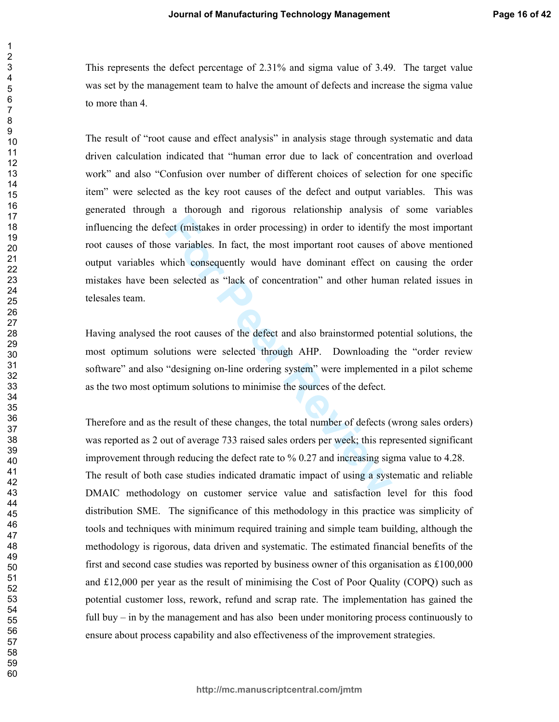This represents the defect percentage of  $2.31\%$  and sigma value of  $3.49$ . The target value was set by the management team to halve the amount of defects and increase the sigma value to more than 4.

Free Unitstakes in order processing) in order to identify<br>the variables. In fact, the most important root causes of<br>thich consequently would have dominant effect on<br>n selected as "lack of concentration" and other huma<br>n se The result of "root cause and effect analysis" in analysis stage through systematic and data driven calculation indicated that "human error due to lack of concentration and overload work" and also "Confusion over number of different choices of selection for one specific item" were selected as the key root causes of the defect and output variables. This was generated through a thorough and rigorous relationship analysis of some variables influencing the defect (mistakes in order processing) in order to identify the most important root causes of those variables. In fact, the most important root causes of above mentioned output variables which consequently would have dominant effect on causing the order mistakes have been selected as "lack of concentration" and other human related issues in telesales team.

Having analysed the root causes of the defect and also brainstormed potential solutions, the most optimum solutions were selected through AHP. Downloading the "order review" software" and also "designing on-line ordering system" were implemented in a pilot scheme as the two most optimum solutions to minimise the sources of the defect.

Therefore and as the result of these changes, the total number of defects (wrong sales orders) was reported as 2 out of average 733 raised sales orders per week; this represented significant improvement through reducing the defect rate to  $\%$  0.27 and increasing sigma value to 4.28. The result of both case studies indicated dramatic impact of using a systematic and reliable DMAIC methodology on customer service value and satisfaction level for this food distribution SME. The significance of this methodology in this practice was simplicity of tools and techniques with minimum required training and simple team building, although the methodology is rigorous, data driven and systematic. The estimated financial benefits of the first and second case studies was reported by business owner of this organisation as  $£100,000$ and  $\pounds$ 12,000 per year as the result of minimising the Cost of Poor Quality (COPQ) such as potential customer loss, rework, refund and scrap rate. The implementation has gained the full buy – in by the management and has also been under monitoring process continuously to ensure about process capability and also effectiveness of the improvement strategies.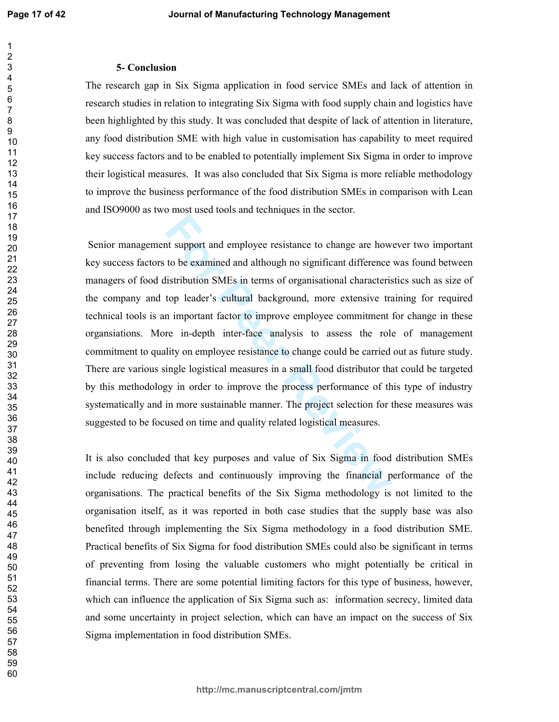### **5-** Conclusion

The research gap in Six Sigma application in food service SMEs and lack of attention in research studies in relation to integrating Six Sigma with food supply chain and logistics have been highlighted by this study. It was concluded that despite of lack of attention in literature, any food distribution SME with high value in customisation has capability to meet required key success factors and to be enabled to potentially implement Six Sigma in order to improve their logistical measures. It was also concluded that Six Sigma is more reliable methodology to improve the business performance of the food distribution SMEs in comparison with Lean and ISO9000 as two most used tools and techniques in the sector.

It support and employee resistance to change are how<br>to be examined and although no significant difference<br>listribution SMEs in terms of organisational characteris<br>top leader's cultural background, more extensive tra<br>in im Senior management support and employee resistance to change are however two important key success factors to be examined and although no significant difference was found between managers of food distribution SMEs in terms of organisational characteristics such as size of the company and top leader's cultural background, more extensive training for required technical tools is an important factor to improve employee commitment for change in these organsiations. More in-depth inter-face analysis to assess the role of management commitment to quality on employee resistance to change could be carried out as future study. There are various single logistical measures in a small food distributor that could be targeted by this methodology in order to improve the process performance of this type of industry systematically and in more sustainable manner. The project selection for these measures was suggested to be focused on time and quality related logistical measures.

It is also concluded that key purposes and value of Six Sigma in food distribution SMEs include reducing defects and continuously improving the financial performance of the organisations. The practical benefits of the Six Sigma methodology is not limited to the organisation itself, as it was reported in both case studies that the supply base was also benefited through implementing the Six Sigma methodology in a food distribution SME. Practical benefits of Six Sigma for food distribution SMEs could also be significant in terms of preventing from losing the valuable customers who might potentially be critical in financial terms. There are some potential limiting factors for this type of business, however, which can influence the application of Six Sigma such as: information secrecy, limited data and some uncertainty in project selection, which can have an impact on the success of Six Sigma implementation in food distribution SMEs.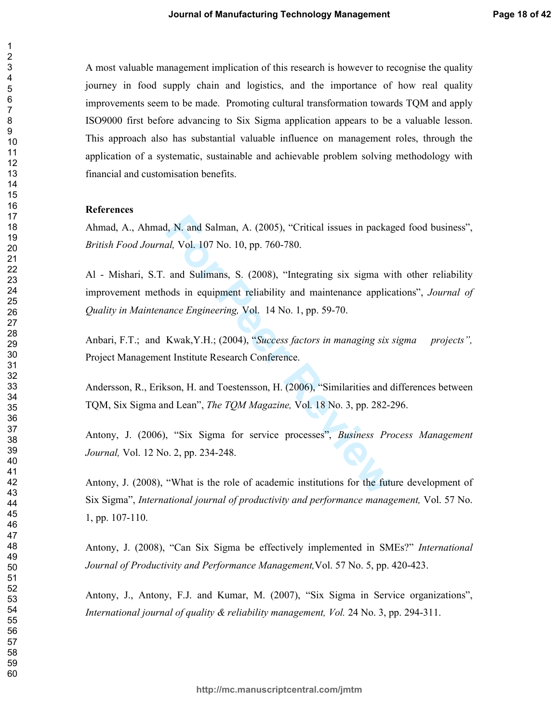A most valuable management implication of this research is however to recognise the quality journey in food supply chain and logistics, and the importance of how real quality improvements seem to be made. Promoting cultural transformation towards TQM and apply ISO9000 first before advancing to Six Sigma application appears to be a valuable lesson. This approach also has substantial valuable influence on management roles, through the application of a systematic, sustainable and achievable problem solving methodology with financial and customisation benefits.

### 

Ahmad, A., Ahmad, N. and Salman, A. (2005), "Critical issues in packaged food business", *British Food Journal, Vol. 107 No. 10, pp. 760-780.* 

1, N. and Salman, A. (2005), "Critical issues in packag<br>
al, Vol. 107 No. 10, pp. 760-780.<br>
and Sulimans, S. (2008), "Integrating six sigma wi<br>
ods in equipment reliability and maintenance applica<br>
ance Engineering, Vol. 1 Al - Mishari, S.T. and Sulimans, S. (2008), "Integrating six sigma with other reliability improvement methods in equipment reliability and maintenance applications", Journal of *Quality in Maintenance Engineering, Vol. 14 No. 1, pp. 59-70.* 

Anbari, F.T.; and Kwak, Y.H.; (2004), "Success factors in managing six sigma projects", Project Management Institute Research Conference.

Andersson, R., Erikson, H. and Toestensson, H. (2006), "Similarities and differences between TQM, Six Sigma and Lean", *The TQM Magazine*, Vol. 18 No. 3, pp. 282-296.

Antony, J. (2006), "Six Sigma for service processes", Business Process Management *Journal*, Vol. 12 No. 2, pp. 234-248.

Antony, J. (2008), "What is the role of academic institutions for the future development of Six Sigma", International journal of productivity and performance management, Vol. 57 No.  $1, pp. 107-110.$ 

Antony, J. (2008), "Can Six Sigma be effectively implemented in SMEs?" *International* Journal of Productivity and Performance Management, Vol. 57 No. 5, pp. 420-423.

Antony, J., Antony, F.J. and Kumar, M. (2007), "Six Sigma in Service organizations", International journal of quality & reliability management, Vol. 24 No. 3, pp. 294-311.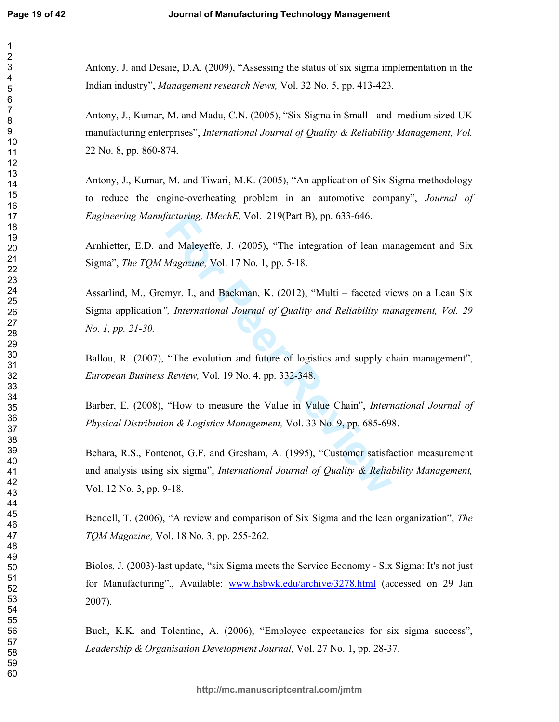Antony, J. and Desaie, D.A. (2009), "Assessing the status of six sigma implementation in the Indian industry", Management research News, Vol. 32 No. 5, pp. 413-423.

Antony, J., Kumar, M. and Madu, C.N. (2005), "Six Sigma in Small - and -medium sized UK manufacturing enterprises", International Journal of Quality & Reliability Management, Vol. 22 No. 8, pp. 860-874.

Antony, J., Kumar, M. and Tiwari, M.K. (2005), "An application of Six Sigma methodology to reduce the engine-overheating problem in an automotive company", *Journal of Engineering Manufacturing, IMechE, Vol. 219(Part B), pp. 633-646.* 

Arnhietter, E.D. and Maleyeffe, J. (2005), "The integration of lean management and Six Sigma", *The TQM Magazine*, Vol. 17 No. 1, pp. 5-18.

acturing, IMechE, Vol. 219(Part B), pp. 653-646.<br>
Ad Maleyeffe, J. (2005), "The integration of lean ma<br> *Hagazine*, Vol. 17 No. 1, pp. 5-18.<br>
myr, I., and Backman, K. (2012), "Multi – faceted vie", *International Journal o* Assarlind, M., Gremyr, I., and Backman, K. (2012), "Multi – faceted views on a Lean Six Sigma application", International Journal of Quality and Reliability management, Vol. 29 *No. 1, pp. 21-30.* 

Ballou, R. (2007), "The evolution and future of logistics and supply chain management", *European Business Review, Vol. 19 No. 4, pp. 332-348.* 

Barber, E. (2008), "How to measure the Value in Value Chain", *International Journal of* Physical Distribution & Logistics Management, Vol. 33 No. 9, pp. 685-698.

Behara, R.S., Fontenot, G.F. and Gresham, A. (1995), "Customer satisfaction measurement and analysis using six sigma", International Journal of Quality & Reliability Management, Vol. 12 No. 3, pp. 9-18.

Bendell, T. (2006), "A review and comparison of Six Sigma and the lean organization", *The TQM Magazine, Vol. 18 No. 3, pp. 255-262.* 

Biolos, J. (2003)-last update, "six Sigma meets the Service Economy - Six Sigma: It's not just for Manufacturing"., Available: www.hsbwk.edu/archive/3278.html (accessed on 29 Jan 2007).

Buch, K.K. and Tolentino, A. (2006), "Employee expectancies for six sigma success", *Leadership & Organisation Development Journal, Vol. 27 No. 1, pp. 28-37.*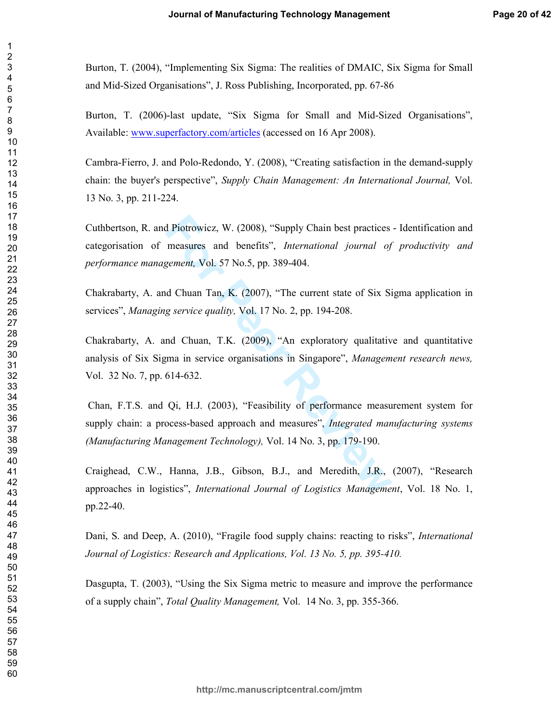Burton, T. (2004), "Implementing Six Sigma: The realities of DMAIC, Six Sigma for Small and Mid-Sized Organisations", J. Ross Publishing, Incorporated, pp. 67-86

Burton, T. (2006)-last update, "Six Sigma for Small and Mid-Sized Organisations", Available: www.superfactory.com/articles (accessed on 16 Apr 2008).

Cambra-Fierro, J. and Polo-Redondo, Y. (2008), "Creating satisfaction in the demand-supply chain: the buyer's perspective", Supply Chain Management: An International Journal, Vol. 13 No. 3, pp. 211-224.

Cuthbertson, R. and Piotrowicz, W. (2008), "Supply Chain best practices - Identification and categorisation of measures and benefits", International journal of productivity and performance management, Vol. 57 No.5, pp. 389-404.

Chakrabarty, A. and Chuan Tan, K. (2007), "The current state of Six Sigma application in services", *Managing service quality*, Vol. 17 No. 2, pp. 194-208.

d Piotrowicz, W. (2008), "Supply Chain best practices<br>measures and benefits", *International journal of*<br>*gement*, Vol. 57 No.5, pp. 389-404.<br>dd Chuan Tan, K. (2007), "The current state of Six Si<br>*g service quality*, Vol. Chakrabarty, A. and Chuan, T.K. (2009), "An exploratory qualitative and quantitative analysis of Six Sigma in service organisations in Singapore", Management research news, Vol. 32 No. 7, pp. 614-632.

Chan, F.T.S. and Qi, H.J. (2003), "Feasibility of performance measurement system for supply chain: a process-based approach and measures", *Integrated manufacturing systems* (Manufacturing Management Technology), Vol. 14 No. 3, pp. 179-190.

Craighead, C.W., Hanna, J.B., Gibson, B.J., and Meredith, J.R., (2007), "Research approaches in logistics", *International Journal of Logistics Management*, Vol. 18 No. 1, pp.22-40.

Dani, S. and Deep, A. (2010), "Fragile food supply chains: reacting to risks", *International Journal of Logistics: Research and Applications, Vol. 13 No. 5, pp. 395-410.* 

Dasgupta, T. (2003), "Using the Six Sigma metric to measure and improve the performance of a supply chain", Total Quality Management, Vol. 14 No. 3, pp. 355-366.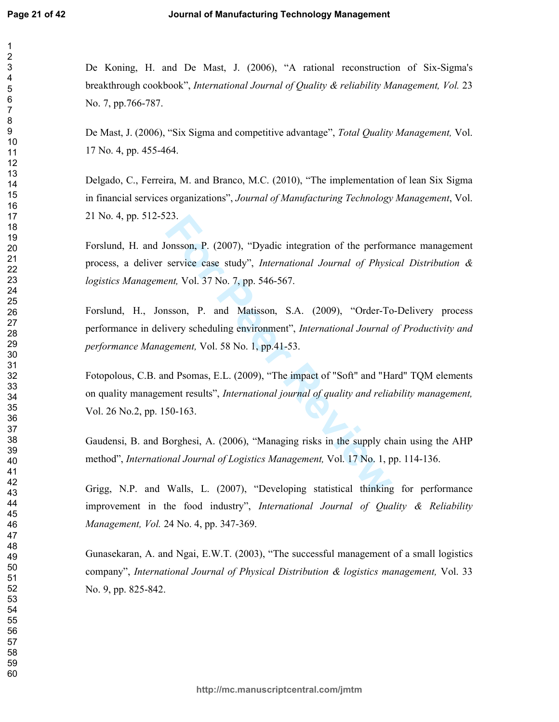De Koning, H. and De Mast, J. (2006), "A rational reconstruction of Six-Sigma's breakthrough cookbook", *International Journal of Quality & reliability Management, Vol. 23* No. 7, pp.766-787.

De Mast, J. (2006), "Six Sigma and competitive advantage", Total Quality Management, Vol. 17 No. 4, pp. 455-464.

Delgado, C., Ferreira, M. and Branco, M.C. (2010), "The implementation of lean Six Sigma in financial services organizations", Journal of Manufacturing Technology Management, Vol. 21 No. 4, pp. 512-523.

Forslund, H. and Jonsson, P. (2007), "Dyadic integration of the performance management process, a deliver service case study", International Journal of Physical Distribution & *logistics Management, Vol.* 37 No. 7, pp. 546-567.

Forslund, H., Jonsson, P. and Matisson, S.A. (2009), "Order-To-Delivery process performance in delivery scheduling environment", International Journal of Productivity and performance Management, Vol. 58 No. 1, pp.41-53.

23.<br> **Example 15.13.** The perform service case study", *International Journal of Physicant*, Vol. 37 No. 7, pp. 546-567.<br> **For Peer Review School** Sample 1, *International Journal of Physicant*, Vol. 37 No. 7, pp. 546-567. Fotopolous, C.B. and Psomas, E.L. (2009), "The impact of "Soft" and "Hard" TQM elements on quality management results", International journal of quality and reliability management, Vol. 26 No.2, pp.  $150-163$ .

Gaudensi, B. and Borghesi, A. (2006), "Managing risks in the supply chain using the AHP method", International Journal of Logistics Management, Vol. 17 No. 1, pp. 114-136.

Grigg, N.P. and Walls, L. (2007), "Developing statistical thinking for performance improvement in the food industry", International Journal of Quality & Reliability *Management, Vol.* 24 No. 4, pp. 347-369.

Gunasekaran, A. and Ngai, E.W.T. (2003), "The successful management of a small logistics company", International Journal of Physical Distribution & logistics management, Vol. 33 No. 9, pp. 825-842.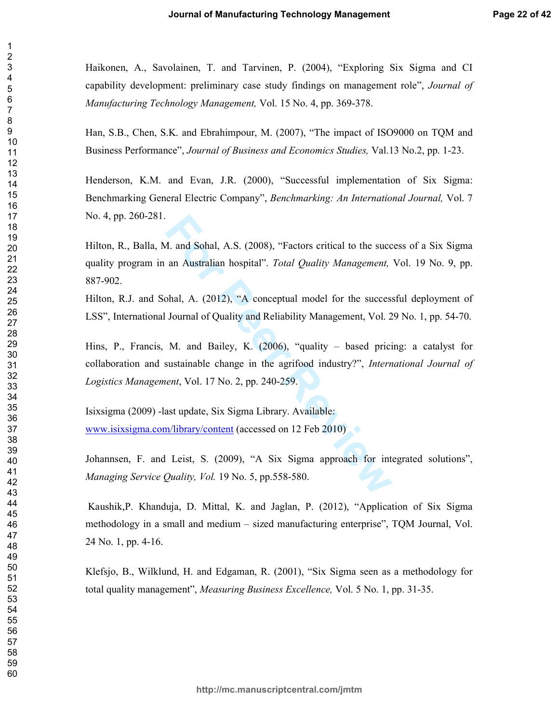Haikonen, A., Savolainen, T. and Tarvinen, P. (2004), "Exploring Six Sigma and CI capability development: preliminary case study findings on management role", Journal of *Manufacturing Technology Management, Vol. 15 No. 4, pp. 369-378.* 

Han, S.B., Chen, S.K. and Ebrahimpour, M. (2007), "The impact of ISO9000 on TQM and Business Performance", Journal of Business and Economics Studies, Val.13 No.2, pp. 1-23.

Henderson, K.M. and Evan, J.R. (2000), "Successful implementation of Six Sigma: Benchmarking General Electric Company", Benchmarking: An International Journal, Vol. 7 No. 4, pp. 260-281.

Hilton, R., Balla, M. and Sohal, A.S. (2008), "Factors critical to the success of a Six Sigma quality program in an Australian hospital". Total Quality Management, Vol. 19 No. 9, pp. 887-902.

Hilton, R.J. and Sohal, A. (2012), "A conceptual model for the successful deployment of LSS", International Journal of Quality and Reliability Management, Vol. 29 No. 1, pp. 54-70.

*A.* and Sohal, A.S. (2008), "Factors critical to the succ<br>an Australian hospital". *Total Quality Management*,<br>bhal, A. (2012), "A conceptual model for the success<br>Journal of Quality and Reliability Management, Vol. 2<br>M. Hins, P., Francis, M. and Bailey, K.  $(2006)$ , "quality – based pricing: a catalyst for collaboration and sustainable change in the agrifood industry?", International Journal of *Logistics Management*, Vol. 17 No. 2, pp. 240-259.

Isixsigma (2009) -last update, Six Sigma Library. Available:  $\underline{\text{www.isixsigma.com/library/content}}$  (accessed on 12 Feb 2010)

Johannsen, F. and Leist, S. (2009), "A Six Sigma approach for integrated solutions", *Managing Service Quality, Vol.* 19 No. 5, pp.558-580.

Kaushik, P. Khanduja, D. Mittal, K. and Jaglan, P. (2012), "Application of Six Sigma methodology in a small and medium - sized manufacturing enterprise", TQM Journal, Vol. 24 No. 1, pp. 4-16.

Klefsjo, B., Wilklund, H. and Edgaman, R. (2001), "Six Sigma seen as a methodology for total quality management", *Measuring Business Excellence*, Vol. 5 No. 1, pp. 31-35.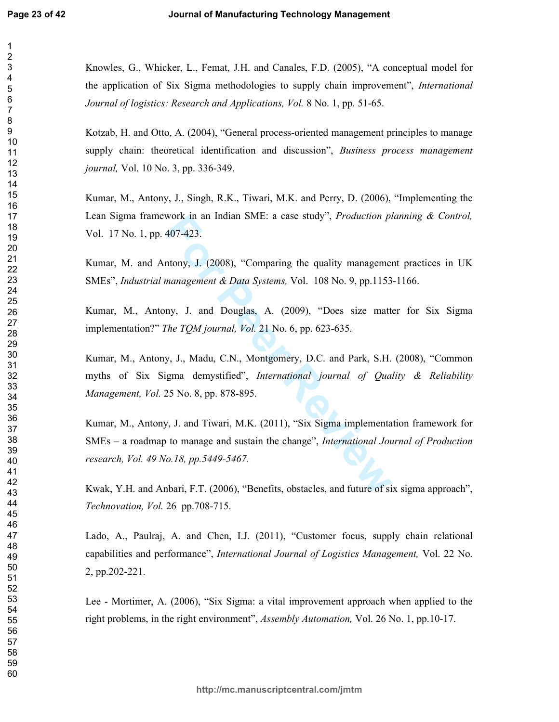Knowles, G., Whicker, L., Femat, J.H. and Canales, F.D. (2005), "A conceptual model for the application of Six Sigma methodologies to supply chain improvement", International *Journal of logistics: Research and Applications, Vol. 8 No. 1, pp. 51-65.* 

Kotzab, H. and Otto, A. (2004), "General process-oriented management principles to manage supply chain: theoretical identification and discussion", *Business process management journal*, Vol. 10 No. 3, pp. 336-349.

Kumar, M., Antony, J., Singh, R.K., Tiwari, M.K. and Perry, D. (2006), "Implementing the Lean Sigma framework in an Indian SME: a case study", *Production planning & Control,* Vol. No. 1, pp.  $407-423$ .

Kumar, M. and Antony, J. (2008), "Comparing the quality management practices in UK SMEs", Industrial management & Data Systems, Vol. 108 No. 9, pp.1153-1166.

Kumar, M., Antony, J. and Douglas, A. (2009), "Does size matter for Six Sigma implementation?" The TOM journal, Vol. 21 No. 6, pp. 623-635.

work in an Indian SME: a case study', *Production pl*<br>407-423.<br>
Intony, J. (2008), "Comparing the quality management<br> *For PQM journal, Vol.* 21 No. 6, pp. 623-635.<br>
For PQM journal, Vol. 21 No. 6, pp. 623-635.<br>
For PQM jo Kumar, M., Antony, J., Madu, C.N., Montgomery, D.C. and Park, S.H. (2008), "Common myths of Six Sigma demystified", International journal of Quality & Reliability *Management, Vol.* 25 No. 8, pp. 878-895.

Kumar, M., Antony, J. and Tiwari, M.K. (2011), "Six Sigma implementation framework for SMEs – a roadmap to manage and sustain the change", *International Journal of Production research, Vol. 49 No.18, pp.5449-5467.* 

Kwak, Y.H. and Anbari, F.T. (2006), "Benefits, obstacles, and future of six sigma approach", *Technovation, Vol.* 26 pp.708-715.

Lado, A., Paulraj, A. and Chen, I.J. (2011), "Customer focus, supply chain relational capabilities and performance", *International Journal of Logistics Management*, Vol. 22 No. 2, pp.202-221.

Lee - Mortimer, A. (2006), "Six Sigma: a vital improvement approach when applied to the right problems, in the right environment", *Assembly Automation*, Vol. 26 No. 1, pp.10-17.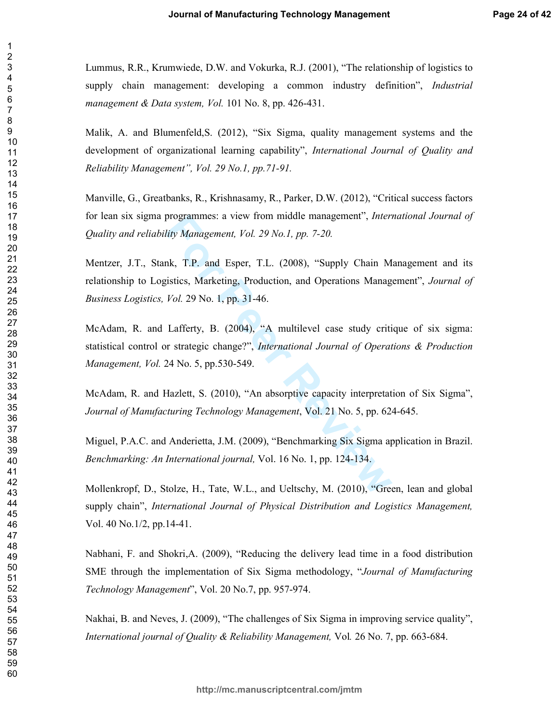Lummus, R.R., Krumwiede, D.W. and Vokurka, R.J. (2001), "The relationship of logistics to supply chain management: developing a common industry definition", *Industrial management & Data system, Vol.* 101 No. 8, pp. 426-431.

Malik, A. and Blumenfeld, S. (2012), "Six Sigma, quality management systems and the development of organizational learning capability", International Journal of Quality and *Reliability Management", Vol. 29 No.1, pp.71-91.* 

Manville, G., Greatbanks, R., Krishnasamy, R., Parker, D.W. (2012), "Critical success factors for lean six sigma programmes: a view from middle management", International Journal of *Quality and reliability Management, Vol. 29 No.1, pp. 7-20.* 

Mentzer, J.T., Stank, T.P. and Esper, T.L. (2008), "Supply Chain Management and its relationship to Logistics, Marketing, Production, and Operations Management", Journal of *Business Logistics, Vol.* 29 No. 1, pp. 31-46.

programmes: a view from middle management", *inter*<br>*Formany Management, Vol. 29 No.1, pp. 7-20.*<br>**Review, T.P.** and Esper, T.L. (2008), "Supply Chain M<br>gistics, Marketing, Production, and Operations Manage<br>*Vol.* 29 No. 1 McAdam, R. and Lafferty, B.  $(2004)$ , "A multilevel case study critique of six sigma: statistical control or strategic change?", International Journal of Operations & Production *Management, Vol.* 24 No. 5, pp.530-549.

McAdam, R. and Hazlett, S. (2010), "An absorptive capacity interpretation of Six Sigma", Journal of Manufacturing Technology Management, Vol. 21 No. 5, pp. 624-645.

Miguel, P.A.C. and Anderietta, J.M. (2009), "Benchmarking Six Sigma application in Brazil. Benchmarking: An International journal, Vol. 16 No. 1, pp. 124-134.

Mollenkropf, D., Stolze, H., Tate, W.L., and Ueltschy, M. (2010), "Green, lean and global supply chain", International Journal of Physical Distribution and Logistics Management, Vol. 40 No.  $1/2$ , pp.  $14-41$ .

Nabhani, F. and Shokri, A. (2009), "Reducing the delivery lead time in a food distribution SME through the implementation of Six Sigma methodology, "Journal of Manufacturing *Technology Management*", Vol. 20 No.7, pp. 957-974.

Nakhai, B. and Neves, J. (2009), "The challenges of Six Sigma in improving service quality", International journal of Quality & Reliability Management, Vol. 26 No. 7, pp. 663-684.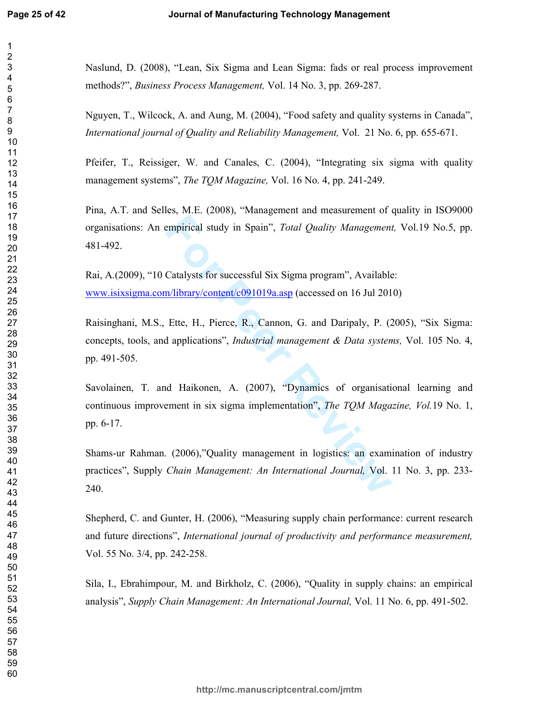Naslund, D. (2008), "Lean, Six Sigma and Lean Sigma: fads or real process improvement methods?", *Business Process Management*, Vol. 14 No. 3, pp. 269-287.

Nguyen, T., Wilcock, A. and Aung, M. (2004), "Food safety and quality systems in Canada", International journal of Quality and Reliability Management, Vol. 21 No. 6, pp. 655-671.

Pfeifer, T., Reissiger, W. and Canales, C. (2004), "Integrating six sigma with quality management systems", *The TQM Magazine*, Vol. 16 No. 4, pp. 241-249.

Pina, A.T. and Selles, M.E. (2008), "Management and measurement of quality in ISO9000 organisations: An empirical study in Spain", Total Quality Management, Vol.19 No.5, pp. 481-492.

Rai, A.(2009), "10 Catalysts for successful Six Sigma program", Available: www.isixsigma.com/library/content/c091019a.asp (accessed on 16 Jul 2010)

Raisinghani, M.S., Ette, H., Pierce, R., Cannon, G. and Daripaly, P. (2005), "Six Sigma: concepts, tools, and applications", *Industrial management & Data systems*, Vol. 105 No. 4, pp.  $491-505$ .

empirical study in Spain", *Total Quality Management*<br>Catalysts for successful Six Sigma program", Available<br>
<u>m/library/content/c091019a.asp</u> (accessed on 16 Jul 201<br>
Ette, H., Pierce, R., Cannon, G. and Daripaly, P. (2<br> Savolainen, T. and Haikonen, A. (2007), "Dynamics of organisational learning and continuous improvement in six sigma implementation", *The TQM Magazine, Vol.*19 No. 1, pp. 6-17.

Shams-ur Rahman. (2006), "Quality management in logistics: an examination of industry practices", Supply Chain Management: An International Journal, Vol. 11 No. 3, pp. 233-240.

Shepherd, C. and Gunter, H. (2006), "Measuring supply chain performance: current research and future directions", International journal of productivity and performance measurement, Vol. 55 No. 3/4, pp. 242-258.

Sila, I., Ebrahimpour, M. and Birkholz, C. (2006), "Quality in supply chains: an empirical analysis", Supply Chain Management: An International Journal, Vol. 11 No. 6, pp. 491-502.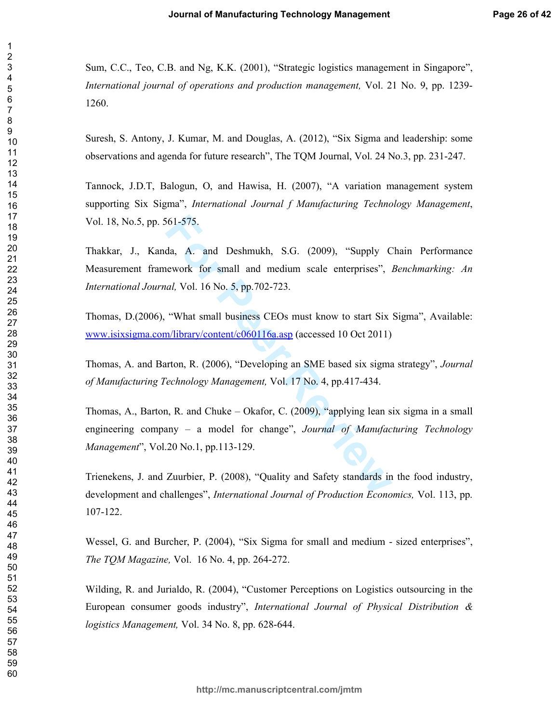Sum, C.C., Teo, C.B. and Ng, K.K. (2001), "Strategic logistics management in Singapore", International journal of operations and production management, Vol. 21 No. 9, pp. 1239-1260.

Suresh, S. Antony, J. Kumar, M. and Douglas, A. (2012), "Six Sigma and leadership: some observations and agenda for future research", The TQM Journal, Vol. 24 No.3, pp. 231-247.

Tannock, J.D.T, Balogun, O, and Hawisa, H. (2007), "A variation management system supporting Six Sigma", International Journal f Manufacturing Technology Management, Vol. 18, No.5, pp. 561-575.

161-575.<br>
da, A. and Deshmukh, S.G. (2009), "Supply C<br>
ework for small and medium scale enterprises", *ial*, Vol. 16 No. 5, pp.702-723.<br>
"What small business CEOs must know to start Six<br>
"What small business CEOs must know Thakkar, J., Kanda, A. and Deshmukh, S.G. (2009), "Supply Chain Performance Measurement framework for small and medium scale enterprises", *Benchmarking: An International Journal, Vol. 16 No. 5, pp.702-723.* 

Thomas, D.(2006), "What small business CEOs must know to start Six Sigma", Available: www.isixsigma.com/library/content/c060116a.asp (accessed 10 Oct 2011)

Thomas, A. and Barton, R. (2006), "Developing an SME based six sigma strategy", Journal of Manufacturing Technology Management, Vol. 17 No. 4, pp.417-434.

Thomas, A., Barton, R. and Chuke – Okafor, C. (2009), "applying lean six sigma in a small engineering company – a model for change", Journal of Manufacturing Technology *Management*", Vol.20 No.1, pp.113-129.

Trienekens, J. and Zuurbier, P. (2008), "Quality and Safety standards in the food industry, development and challenges", International Journal of Production Economics, Vol. 113, pp. 107-122.

Wessel, G. and Burcher, P. (2004), "Six Sigma for small and medium - sized enterprises", *The TQM Magazine, Vol. 16 No. 4, pp. 264-272.* 

Wilding, R. and Jurialdo, R. (2004), "Customer Perceptions on Logistics outsourcing in the European consumer goods industry", International Journal of Physical Distribution & *logistics Management, Vol. 34 No. 8, pp. 628-644.*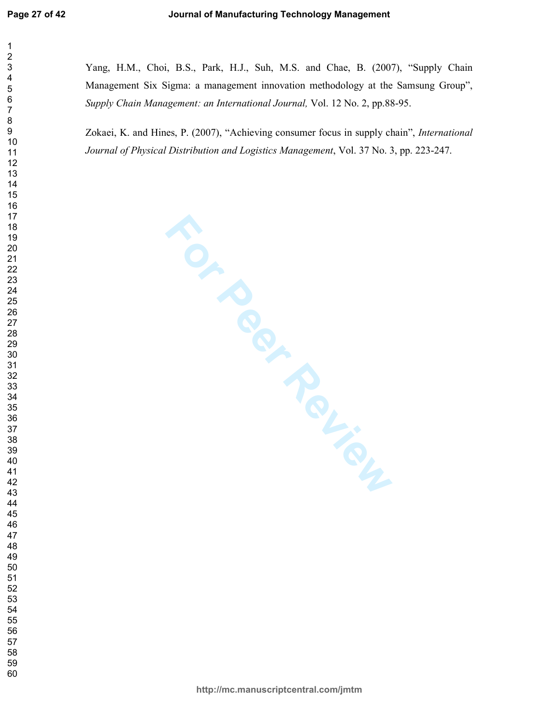Yang, H.M., Choi, B.S., Park, H.J., Suh, M.S. and Chae, B. (2007), "Supply Chain Management Six Sigma: a management innovation methodology at the Samsung Group", Supply Chain Management: an International Journal, Vol. 12 No. 2, pp.88-95.

Zokaei, K. and Hines, P. (2007), "Achieving consumer focus in supply chain", *International Journal of Physical Distribution and Logistics Management, Vol. 37 No. 3, pp. 223-247.*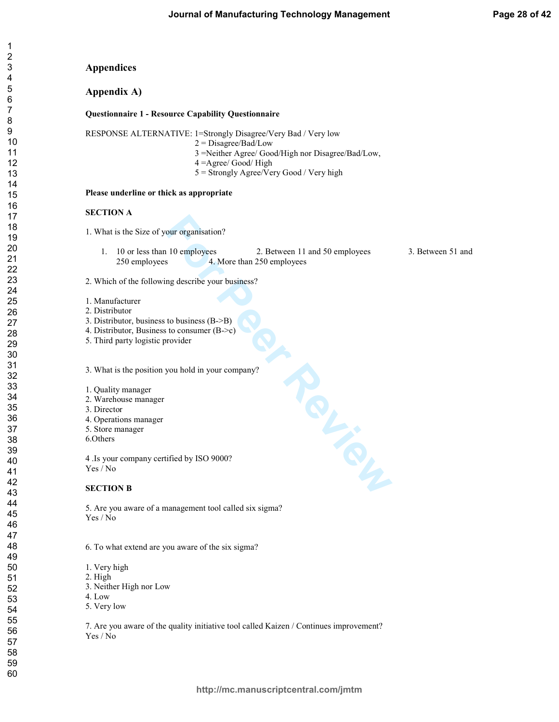### 123456789  $\overline{2}$ 3  $\overline{4}$ 5 6  $\overline{7}$ 8 9 10 11 12 13 14 15 16 17 18 19 20 21 22 23 24 25 26 27 28 29 30 31 32 33 34 35 36 37 38 39 40 41 42 43 44 45 46 47 48 49 50 51 52 53 54 55 56 57 58 59 60

1

### **Appendices**

### **Appendix A)**

### **Questionnaire 1 - Resource Capability Questionnaire**

RESPONSE ALTERNATIVE: 1=Strongly Disagree/Very Bad / Very low

 $2 = Disagree/Bad/Low$ 

3 = Neither Agree/ Good/High nor Disagree/Bad/Low,

- $4 = \text{Agree}/\text{Good}/\text{High}$
- $5 =$ Strongly Agree/Very Good / Very high

### Please underline or thick as appropriate

### **SECTION A**

1. What is the Size of your organisation?

1. 10 or less than 10 employees 2. Between 11 and 50 employees 3<br>
250 employees 4. More than 250 employees 3<br>
thich of the following describe your business?<br>
Harufacturer<br>
istributor, business to business (B->B)<br>
istributo 2. Between 11 and 50 employees 3. Between 51 and 4. More than 250 employees

2. Which of the following describe your business?

1. Manufacturer

- 2. Distributor
- 3. Distributor, business to business (B->B)
- 4. Distributor, Business to consumer  $(B-z)$
- 5. Third party logistic provider
- 3. What is the position you hold in your company?
- 1. Quality manager
- 2. Warehouse manager
- 3. Director
- 4. Operations manager
- 5. Store manager
- 6.Others

4. Is your company certified by ISO 9000?  $Yes / No$ 

### **SECTION B**

5. Are you aware of a management tool called six sigma?  $Yes / No$ 

6. To what extend are you aware of the six sigma?

- 1. Very high
- 2. High
- 3. Neither High nor Low
- 4. Low
- 5. Very low

7. Are you aware of the quality initiative tool called Kaizen / Continues improvement?  $Yes / No$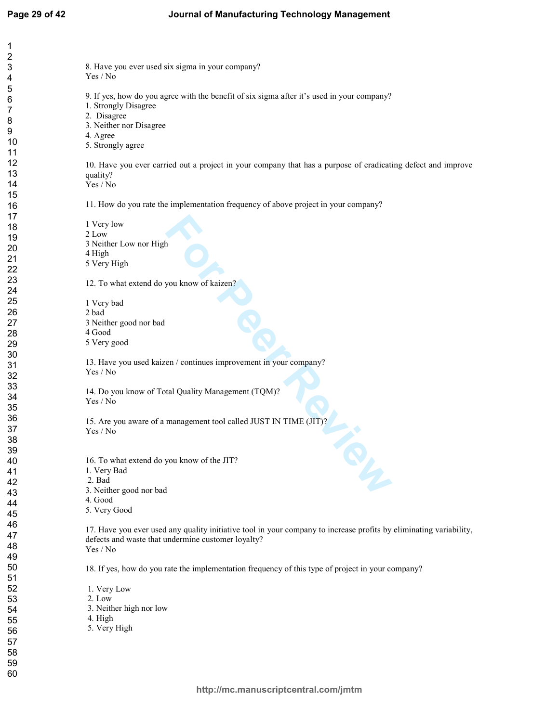$\mathbf{1}$  $\overline{2}$ 3  $\overline{\mathbf{4}}$ 5 6  $\overline{7}$  $\bf 8$  $\boldsymbol{9}$ 

### **Journal of Manufacturing Technology Management**

| Yes / No             | 8. Have you ever used six sigma in your company?                                                                   |
|----------------------|--------------------------------------------------------------------------------------------------------------------|
| 1. Strongly Disagree | 9. If yes, how do you agree with the benefit of six sigma after it's used in your company?                         |
| 2. Disagree          |                                                                                                                    |
|                      | 3. Neither nor Disagree                                                                                            |
| 4. Agree             |                                                                                                                    |
| 5. Strongly agree    |                                                                                                                    |
| quality?<br>Yes / No | 10. Have you ever carried out a project in your company that has a purpose of eradicating defect and improve       |
|                      | 11. How do you rate the implementation frequency of above project in your company?                                 |
|                      |                                                                                                                    |
| 1 Very low           |                                                                                                                    |
| 2 Low                |                                                                                                                    |
|                      | 3 Neither Low nor High                                                                                             |
| 4 High               |                                                                                                                    |
| 5 Very High          |                                                                                                                    |
|                      | 12. To what extend do you know of kaizen?                                                                          |
| 1 Very bad           |                                                                                                                    |
| 2 bad                |                                                                                                                    |
|                      | 3 Neither good nor bad                                                                                             |
| 4 Good               |                                                                                                                    |
| 5 Very good          |                                                                                                                    |
| Yes / No             | 13. Have you used kaizen / continues improvement in your company?                                                  |
|                      |                                                                                                                    |
| Yes / No             | 14. Do you know of Total Quality Management (TQM)?                                                                 |
|                      |                                                                                                                    |
| Yes / No             | 15. Are you aware of a management tool called JUST IN TIME (JIT)?                                                  |
|                      |                                                                                                                    |
|                      | 16. To what extend do you know of the JIT?                                                                         |
| 1. Very Bad          |                                                                                                                    |
| 2. Bad               |                                                                                                                    |
|                      | 3. Neither good nor bad                                                                                            |
| 4. Good              |                                                                                                                    |
| 5. Very Good         |                                                                                                                    |
|                      | 17. Have you ever used any quality initiative tool in your company to increase profits by eliminating variability, |
|                      | defects and waste that undermine customer loyalty?                                                                 |
| Yes / No             |                                                                                                                    |
|                      | 18. If yes, how do you rate the implementation frequency of this type of project in your company?                  |
| 1. Very Low          |                                                                                                                    |
| 2. Low               |                                                                                                                    |
|                      | 3. Neither high nor low                                                                                            |
| 4. High              |                                                                                                                    |
| 5. Very High         |                                                                                                                    |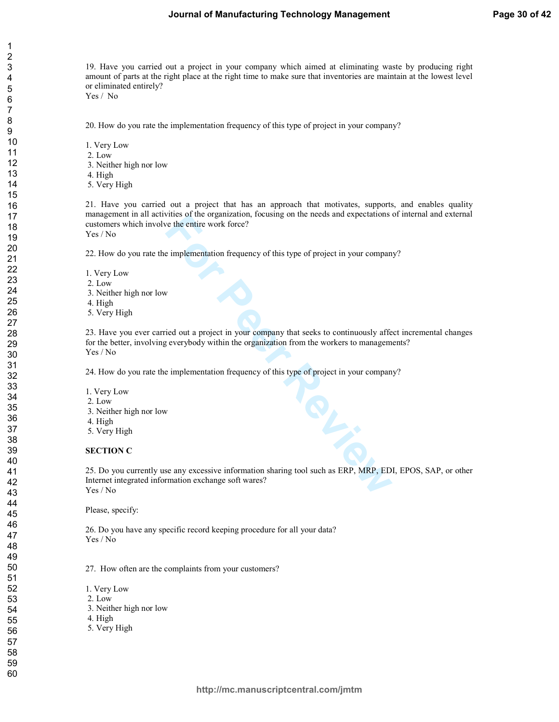19. Have you carried out a project in your company which aimed at eliminating waste by producing right amount of parts at the right place at the right time to make sure that inventories are maintain at the lowest level or eliminated entirely?  $Yes / No$ 

20. How do you rate the implementation frequency of this type of project in your company?

- 1. Very Low
- 2. Low
- 3. Neither high nor low
- 4. High
- 5. Very High

21. Have you carried out a project that has an approach that motivates, supports, and enables quality management in all activities of the organization, focusing on the needs and expectations of internal and external customers which involve the entire work force?  $Yes / No$ 

22. How do you rate the implementation frequency of this type of project in your company?

- 1. Very Low
- 2. Low
- 3. Neither high nor low
- 4. High
- 5. Very High

For the distance of this type of project in your company<br>
For Per Per Review We are the entire work force?<br>
For Periodic and a project in your company that seeks to continuously affectively<br>
For Per Per Per Per Per Per Per 23. Have you ever carried out a project in your company that seeks to continuously affect incremental changes for the better, involving everybody within the organization from the workers to managements? Yes / No

24. How do you rate the implementation frequency of this type of project in your company?

- 1. Very Low
- 2. Low
- 3. Neither high nor low
- 4. High
- 5. Very High

### **SECTION C**

25. Do you currently use any excessive information sharing tool such as ERP, MRP, EDI, EPOS, SAP, or other Internet integrated information exchange soft wares?  $Yes / No$ 

Please, specify:

26. Do you have any specific record keeping procedure for all your data?  $Yes / No$ 

27. How often are the complaints from your customers?

- 1. Very Low 2. Low 3. Neither high nor low 4. High
- 5. Very High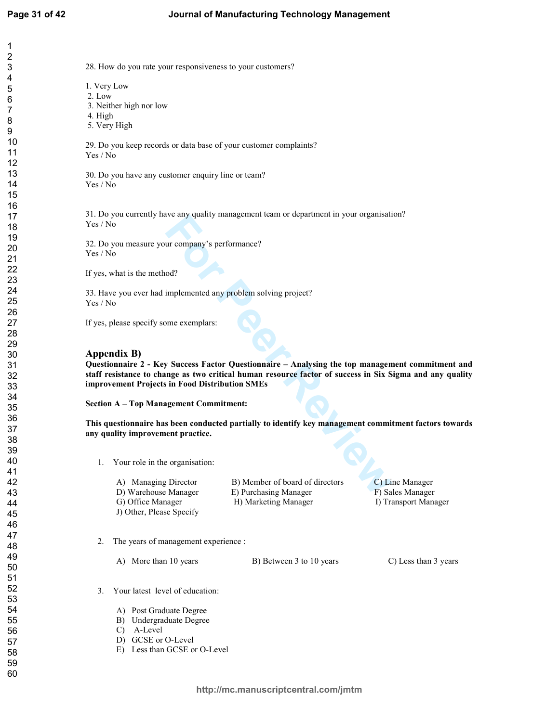### **Journal of Manufacturing Technology Management**

28. How do you rate your responsiveness to your customers?

1. Very Low

2. Low

3. Neither high nor low

4. High 5. Very High

29. Do you keep records or data base of your customer complaints?  $Yes / No$ 

30. Do you have any customer enquiry line or team?  $Yes / No$ 

31. Do you currently have any quality management team or department in your organisation?  $Yes / No$ 

32. Do you measure your company's performance?  $Yes / No$ 

If yes, what is the method?

33. Have you ever had implemented any problem solving project?  $Yes / No$ 

If yes, please specify some exemplars:

### **Appendix B)**

For Personship Control of the Section 2 of the Management Commission<br>
For Persons and Section 2 of the Section 2 of the Section 2 of the Section 2 of the Section 2 of the Section 2 of the Section 2 of the Section 2 of the Questionnaire 2 - Key Success Factor Questionnaire – Analysing the top management commitment and **staff resistance to change as two critical human resource factor of success in Six Sigma and any quality** improvement Projects in Food Distribution SMEs

**Section A – Top Management Commitment:** 

This questionnaire has been conducted partially to identify key management commitment factors towards any quality improvement practice.

1. Your role in the organisation:

| A) Managing Director     | B) Member of board of |
|--------------------------|-----------------------|
| D) Warehouse Manager     | E) Purchasing Manager |
| G) Office Manager        | H) Marketing Manager  |
| J) Other, Please Specify |                       |

D) Warehouse Manager (E) Purchasing Manager (F) Sales Manager H) Marketing Manager

C) Line Manager I) Transport Manager

- 2. The years of management experience :
	- A) More than 10 years B) Between 3 to 10 years C) Less than 3 years

- 3. Your latest level of education:
	- A) Post Graduate Degree
	- B) Undergraduate Degree
	- C) A-Level
	- D) GCSE or O-Level
	- E) Less than GCSE or O-Level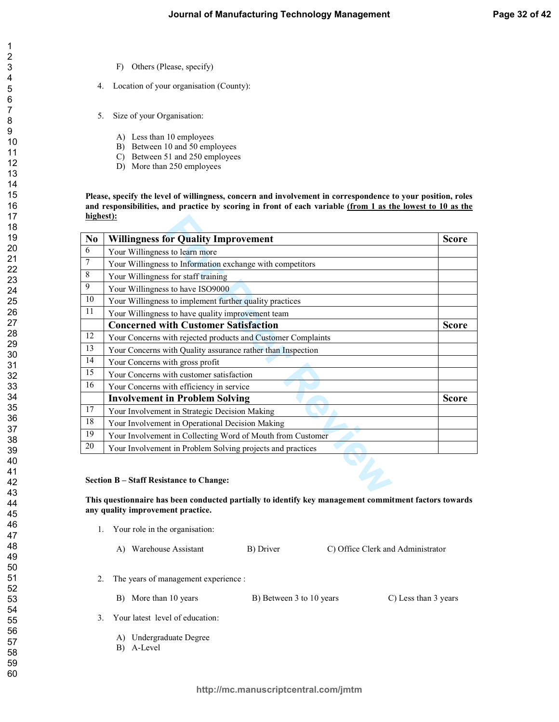- F) Others (Please, specify)
- 4. Location of your organisation (County):
- 5. Size of your Organisation:
	- A) Less than 10 employees
	- B) Between 10 and 50 employees
	- C) Between 51 and 250 employees
	- D) More than 250 employees

Please, specify the level of willingness, concern and involvement in correspondence to your position, roles **and responsibilities, and practice by scoring in front of each variable (from 1 as the lowest to 10 as the** highest):

| highest): |                                                              |              |
|-----------|--------------------------------------------------------------|--------------|
| No        | <b>Willingness for Quality Improvement</b>                   | <b>Score</b> |
| 6         | Your Willingness to learn more                               |              |
| $\tau$    | Your Willingness to Information exchange with competitors    |              |
| $\,8\,$   | Your Willingness for staff training                          |              |
| 9         | Your Willingness to have ISO9000                             |              |
| 10        | Your Willingness to implement further quality practices      |              |
| 11        | Your Willingness to have quality improvement team            |              |
|           | <b>Concerned with Customer Satisfaction</b>                  | <b>Score</b> |
| 12        | Your Concerns with rejected products and Customer Complaints |              |
| 13        | Your Concerns with Quality assurance rather than Inspection  |              |
| 14        | Your Concerns with gross profit                              |              |
| 15        | Your Concerns with customer satisfaction                     |              |
| 16        | Your Concerns with efficiency in service                     |              |
|           | <b>Involvement in Problem Solving</b>                        | <b>Score</b> |
| 17        | Your Involvement in Strategic Decision Making                |              |
| 18        | Your Involvement in Operational Decision Making              |              |
| 19        | Your Involvement in Collecting Word of Mouth from Customer   |              |
| 20        | Your Involvement in Problem Solving projects and practices   |              |
|           | <b>Section B – Staff Resistance to Change:</b>               |              |

This questionnaire has been conducted partially to identify key management commitment factors towards any quality improvement practice.

- 1. Your role in the organisation:
	- A) Warehouse Assistant B) Driver fice Clerk and Administrator
- 2. The years of management experience :
	- B) More than 10 years B) Between 3 to 10 years C) Less than 3 years
- 

- 3. Your latest level of education:
	- A) Undergraduate Degree
	- B) A-Level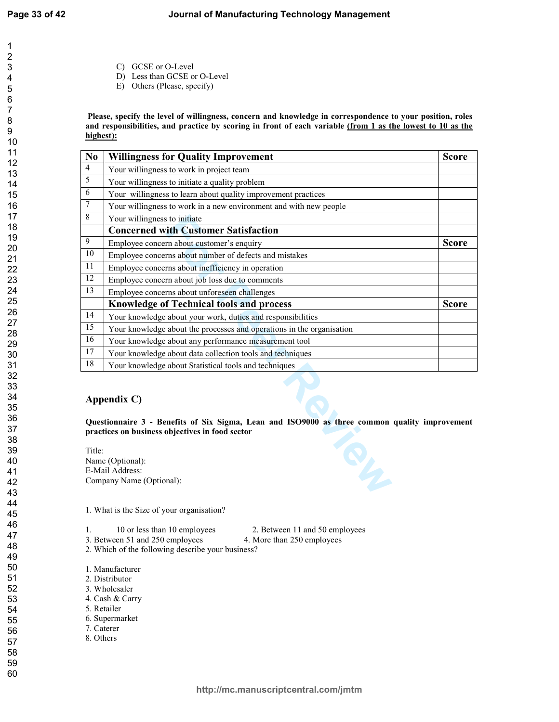60

- D) Less than GCSE or O-Level
- E) Others (Please, specify)

Please, specify the level of willingness, concern and knowledge in correspondence to your position, roles **and responsibilities, and practice by scoring in front of each variable (from 1 as the lowest to 10 as the** highest):

| $\mathbf{N}\mathbf{0}$                                                                                                                                          | <b>Willingness for Quality Improvement</b>                            | <b>Score</b> |  |  |
|-----------------------------------------------------------------------------------------------------------------------------------------------------------------|-----------------------------------------------------------------------|--------------|--|--|
| $\overline{4}$                                                                                                                                                  | Your willingness to work in project team                              |              |  |  |
| $\overline{5}$                                                                                                                                                  | Your willingness to initiate a quality problem                        |              |  |  |
| 6                                                                                                                                                               | Your willingness to learn about quality improvement practices         |              |  |  |
| $\tau$                                                                                                                                                          | Your willingness to work in a new environment and with new people     |              |  |  |
| $\,8\,$                                                                                                                                                         | Your willingness to initiate                                          |              |  |  |
|                                                                                                                                                                 | <b>Concerned with Customer Satisfaction</b>                           |              |  |  |
| 9                                                                                                                                                               | Employee concern about customer's enquiry                             | <b>Score</b> |  |  |
| 10                                                                                                                                                              | Employee concerns about number of defects and mistakes                |              |  |  |
| 11                                                                                                                                                              | Employee concerns about inefficiency in operation                     |              |  |  |
| 12                                                                                                                                                              | Employee concern about job loss due to comments                       |              |  |  |
| 13                                                                                                                                                              | Employee concerns about unforeseen challenges                         |              |  |  |
|                                                                                                                                                                 | <b>Knowledge of Technical tools and process</b>                       | <b>Score</b> |  |  |
| 14                                                                                                                                                              | Your knowledge about your work, duties and responsibilities           |              |  |  |
| 15                                                                                                                                                              | Your knowledge about the processes and operations in the organisation |              |  |  |
| 16                                                                                                                                                              | Your knowledge about any performance measurement tool                 |              |  |  |
| $\overline{17}$                                                                                                                                                 | Your knowledge about data collection tools and techniques             |              |  |  |
| 18                                                                                                                                                              | Your knowledge about Statistical tools and techniques                 |              |  |  |
| Appendix C)<br>Questionnaire 3 - Benefits of Six Sigma, Lean and ISO9000 as three common quality improvement<br>practices on business objectives in food sector |                                                                       |              |  |  |
| Title:                                                                                                                                                          | NA<br>Name (Optional):<br>E-Mail Address:<br>Company Name (Optional): |              |  |  |

### **Appendix C)**



1. 10 or less than 10 employees 2. Between 11 and 50 employees

- 3. Between 51 and 250 employees 4. More than 250 employees
- 2. Which of the following describe your business?
- 1. Manufacturer
- 2. Distributor
- 3. Wholesaler
- 4. Cash & Carry
- 5. Retailer
- 6. Supermarket
- 7. Caterer
- 8. Others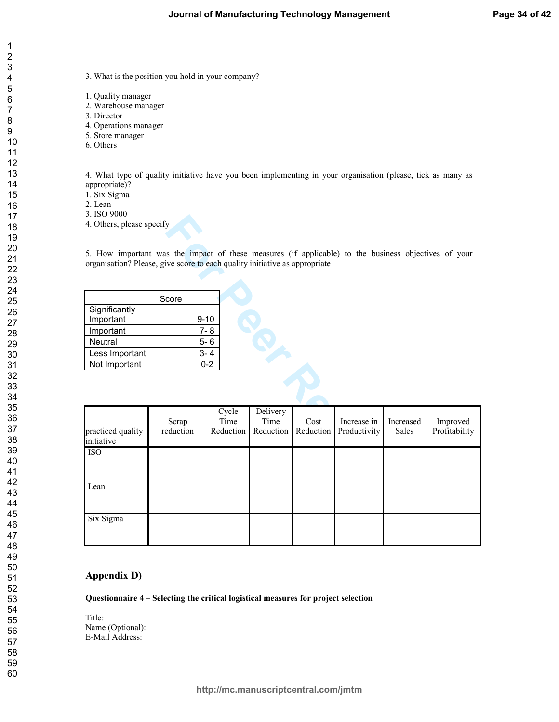- 3. What is the position you hold in your company?
- 1. Quality manager
- 2. Warehouse manager
- 3. Director
- 4. Operations manager
- 5. Store manager
- 6. Others

4. What type of quality initiative have you been implementing in your organisation (please, tick as many as appropriate)?

- 1. Six Sigma
- 2. Lean
- 3. ISO 9000
- 4. Others, please specify

|                | Score    |  |
|----------------|----------|--|
| Significantly  |          |  |
| Important      | $9 - 10$ |  |
| Important      | 7- 8     |  |
| Neutral        | $5 - 6$  |  |
| Less Important |          |  |
| Not Important  |          |  |
|                |          |  |

| 3. ISO 9000                                                                                                                                                                        |                    |                            |                               |                   |                             |                           |                           |
|------------------------------------------------------------------------------------------------------------------------------------------------------------------------------------|--------------------|----------------------------|-------------------------------|-------------------|-----------------------------|---------------------------|---------------------------|
| 4. Others, please specify                                                                                                                                                          |                    |                            |                               |                   |                             |                           |                           |
| 5. How important was the impact of these measures (if applicable) to the business objectives of your<br>organisation? Please, give score to each quality initiative as appropriate |                    |                            |                               |                   |                             |                           |                           |
|                                                                                                                                                                                    | Score              |                            |                               |                   |                             |                           |                           |
| Significantly<br>Important                                                                                                                                                         |                    | $9 - 10$                   |                               |                   |                             |                           |                           |
| Important                                                                                                                                                                          |                    | $7 - 8$                    |                               |                   |                             |                           |                           |
| <b>Neutral</b>                                                                                                                                                                     |                    | $5 - 6$                    |                               |                   |                             |                           |                           |
| Less Important                                                                                                                                                                     |                    | $3 - 4$                    |                               |                   |                             |                           |                           |
| Not Important                                                                                                                                                                      |                    | $0 - 2$                    |                               |                   |                             |                           |                           |
|                                                                                                                                                                                    |                    |                            |                               |                   |                             |                           |                           |
| practiced quality<br>initiative                                                                                                                                                    | Scrap<br>reduction | Cycle<br>Time<br>Reduction | Delivery<br>Time<br>Reduction | Cost<br>Reduction | Increase in<br>Productivity | Increased<br><b>Sales</b> | Improved<br>Profitability |
| <b>ISO</b>                                                                                                                                                                         |                    |                            |                               |                   |                             |                           |                           |
| Lean                                                                                                                                                                               |                    |                            |                               |                   |                             |                           |                           |
| Six Sigma                                                                                                                                                                          |                    |                            |                               |                   |                             |                           |                           |

### **Appendix D)**

Questionnaire 4 – Selecting the critical logistical measures for project selection

Title: itle: the contract of the contract of the contract of the contract of the contract of the contract of the contract of the contract of the contract of the contract of the contract of the contract of the contract of the cont Name (Optional): E-Mail Address: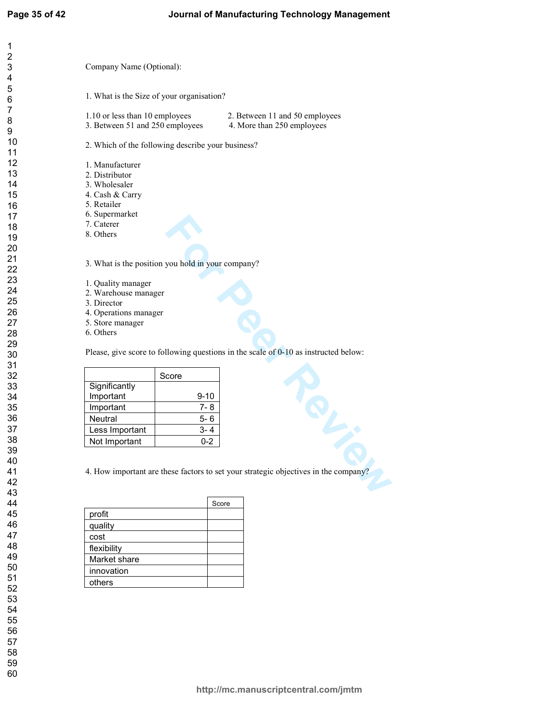$\mathbf{1}$  $\overline{2}$ 3  $\overline{\mathbf{4}}$ 5 6  $\overline{7}$ 8 9

Company Name (Optional):

- 1. What is the Size of your organisation?
- 1.10 or less than 10 employees 2. Between 11 and 50 employees<br>3. Between 51 and 250 employees 4. More than 250 employees
- 3. Between 51 and 250 employees
- 2. Which of the following describe your business?
- 1. Manufacturer
- 2. Distributor
- 3. Wholesaler
- 4. Cash & Carry
- 5. Retailer
- 6. Supermarket 7. Caterer
- 8. Others
- 

3. What is the position you hold in your company?

- 1. Quality manager
- 2. Warehouse manager
- 3. Director
- 4. Operations manager
- 5. Store manager
- 6. Others

Please, give score to following questions in the scale of  $0-10$  as instructed below:

|                | Score    |
|----------------|----------|
| Significantly  |          |
| Important      | $9 - 10$ |
| Important      | 7- 8     |
| Neutral        | 5-6      |
| Less Important | 3- 4     |
| Not Important  | በ-2      |

4. How important are these factors to set your strategic objectives in the company?

|              | Score |
|--------------|-------|
| profit       |       |
| quality      |       |
| cost         |       |
| flexibility  |       |
| Market share |       |
| innovation   |       |
| others       |       |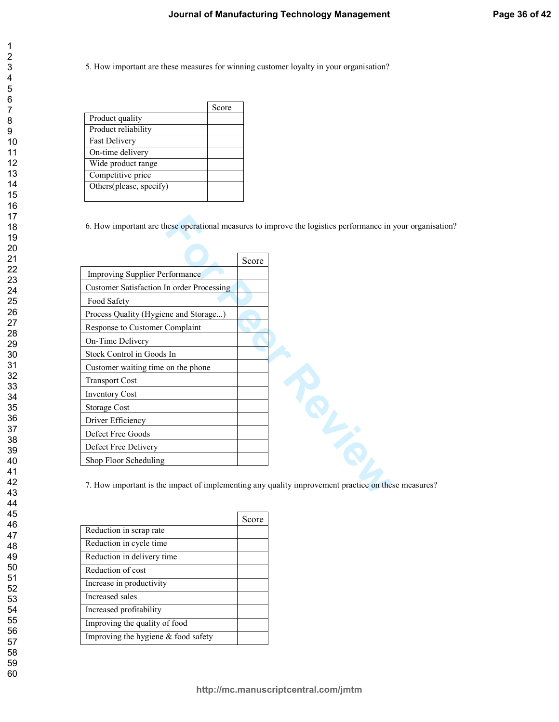5. How important are these measures for winning customer loyalty in your organisation?

|                         | Score |
|-------------------------|-------|
| Product quality         |       |
| Product reliability     |       |
| <b>Fast Delivery</b>    |       |
| On-time delivery        |       |
| Wide product range      |       |
| Competitive price       |       |
| Others(please, specify) |       |

6. How important are these operational measures to improve the logistics performance in your organisation?

|                                           | Score |  |
|-------------------------------------------|-------|--|
| <b>Improving Supplier Performance</b>     |       |  |
| Customer Satisfaction In order Processing |       |  |
| Food Safety                               |       |  |
| Process Quality (Hygiene and Storage)     |       |  |
| Response to Customer Complaint            |       |  |
| On-Time Delivery                          |       |  |
| Stock Control in Goods In                 |       |  |
| Customer waiting time on the phone        |       |  |
| <b>Transport Cost</b>                     |       |  |
| <b>Inventory Cost</b>                     |       |  |
| <b>Storage Cost</b>                       |       |  |
| Driver Efficiency                         |       |  |
| Defect Free Goods                         |       |  |
| Defect Free Delivery                      |       |  |
| Shop Floor Scheduling                     |       |  |

7. How important is the impact of implementing any quality improvement practice on these measures?

|                                       | Score |
|---------------------------------------|-------|
| Reduction in scrap rate               |       |
| Reduction in cycle time               |       |
| Reduction in delivery time            |       |
| Reduction of cost                     |       |
| Increase in productivity              |       |
| Increased sales                       |       |
| Increased profitability               |       |
| Improving the quality of food         |       |
| Improving the hygiene $&$ food safety |       |

 $\mathbf{1}$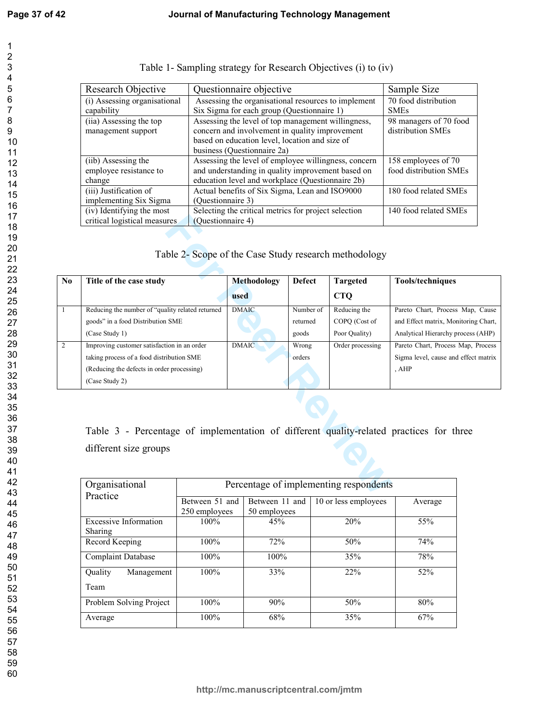$\mathbf{1}$ 

| Research Objective           | Questionnaire objective                              | Sample Size            |
|------------------------------|------------------------------------------------------|------------------------|
| (i) Assessing organisational | Assessing the organisational resources to implement  | 70 food distribution   |
| capability                   | Six Sigma for each group (Questionnaire 1)           | <b>SMEs</b>            |
| (iia) Assessing the top      | Assessing the level of top management willingness,   | 98 managers of 70 food |
| management support           | concern and involvement in quality improvement       | distribution SMEs      |
|                              | based on education level, location and size of       |                        |
|                              | business (Ouestionnaire 2a)                          |                        |
| (iib) Assessing the          | Assessing the level of employee willingness, concern | 158 employees of 70    |
| employee resistance to       | and understanding in quality improvement based on    | food distribution SMEs |
| change                       | education level and workplace (Questionnaire 2b)     |                        |
| (iii) Justification of       | Actual benefits of Six Sigma, Lean and ISO9000       | 180 food related SMEs  |
| implementing Six Sigma       | (Ouestionnaire 3)                                    |                        |
| (iv) Identifying the most    | Selecting the critical metrics for project selection | 140 food related SMEs  |
| critical logistical measures | (Ouestionnaire 4)                                    |                        |

### able 1- Sampling strategy for Research Objectives (i) to (iv)

### **T** able 2- Scope of the Case Study research methodology

|                | critical logistical measures                                                                                                                             | (Questionnaire 4) |                            |                                |                                                       |                                                                                                                |  |  |  |
|----------------|----------------------------------------------------------------------------------------------------------------------------------------------------------|-------------------|----------------------------|--------------------------------|-------------------------------------------------------|----------------------------------------------------------------------------------------------------------------|--|--|--|
|                |                                                                                                                                                          |                   |                            |                                | Table 2- Scope of the Case Study research methodology |                                                                                                                |  |  |  |
| N <sub>0</sub> | Title of the case study                                                                                                                                  |                   | <b>Methodology</b><br>used | <b>Defect</b>                  | <b>Targeted</b><br><b>CTQ</b>                         | <b>Tools/techniques</b>                                                                                        |  |  |  |
|                | Reducing the number of "quality related returned<br>goods" in a food Distribution SME<br>(Case Study 1)                                                  |                   | <b>DMAIC</b>               | Number of<br>returned<br>goods | Reducing the<br>COPQ (Cost of<br>Poor Quality)        | Pareto Chart, Process Map, Cause<br>and Effect matrix, Monitoring Chart,<br>Analytical Hierarchy process (AHP) |  |  |  |
|                | Improving customer satisfaction in an order<br>taking process of a food distribution SME<br>(Reducing the defects in order processing)<br>(Case Study 2) |                   | <b>DMAIC</b>               | Wrong<br>orders                | Order processing                                      | Pareto Chart, Process Map, Process<br>Sigma level, cause and effect matrix<br>, AHP                            |  |  |  |
|                |                                                                                                                                                          |                   |                            |                                |                                                       |                                                                                                                |  |  |  |
|                | Table 3 - Percentage of implementation of different quality-related practices for three<br>different size groups                                         |                   |                            |                                |                                                       |                                                                                                                |  |  |  |
|                | Organisational<br>Practice                                                                                                                               |                   |                            |                                | Percentage of implementing respondents                |                                                                                                                |  |  |  |

| Organisational<br>Practice   | Percentage of implementing respondents |                |                      |         |  |  |  |
|------------------------------|----------------------------------------|----------------|----------------------|---------|--|--|--|
|                              | Between 51 and                         | Between 11 and | 10 or less employees | Average |  |  |  |
|                              | 250 employees                          | 50 employees   |                      |         |  |  |  |
| <b>Excessive Information</b> | $100\%$                                | 45%            | 20%                  | 55%     |  |  |  |
| Sharing                      |                                        |                |                      |         |  |  |  |
| Record Keeping               | $100\%$                                | 72%            | 50%                  | 74%     |  |  |  |
| Complaint Database           | $100\%$                                | 100%           | 35%                  | 78%     |  |  |  |
| Ouality<br>Management        | $100\%$                                | 33%            | 22%                  | 52%     |  |  |  |
| Team                         |                                        |                |                      |         |  |  |  |
| Problem Solving Project      | $100\%$                                | 90%            | 50%                  | 80%     |  |  |  |
| Average                      | 100%                                   | 68%            | 35%                  | 67%     |  |  |  |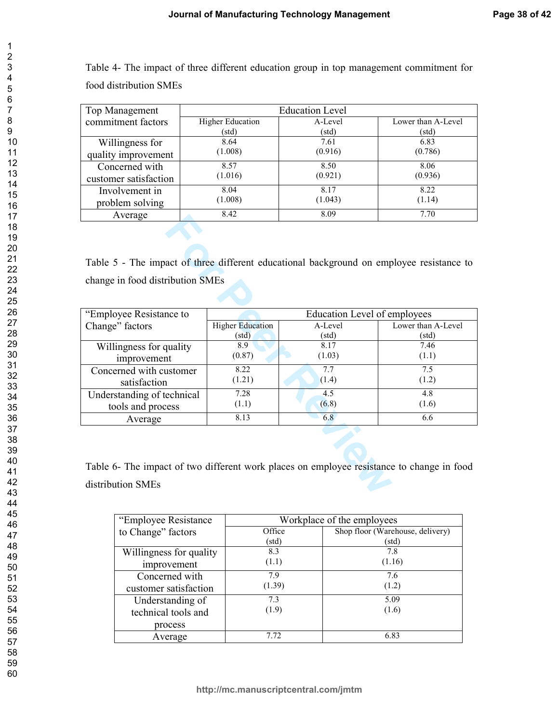Table 4- The impact of three different education group in top management commitment for food distribution SMEs

| Top Management        | <b>Education Level</b>  |         |                    |  |  |  |
|-----------------------|-------------------------|---------|--------------------|--|--|--|
| commitment factors    | <b>Higher Education</b> | A-Level | Lower than A-Level |  |  |  |
|                       | (std)                   | (std)   | (std)              |  |  |  |
| Willingness for       | 8.64                    | 7.61    | 6.83               |  |  |  |
| quality improvement   | (1.008)                 | (0.916) | (0.786)            |  |  |  |
| Concerned with        | 8.57                    | 8.50    | 8.06               |  |  |  |
| customer satisfaction | (1.016)                 | (0.921) | (0.936)            |  |  |  |
| Involvement in        | 8.04                    | 8.17    | 8.22               |  |  |  |
| problem solving       | (1.008)                 | (1.043) | (1.14)             |  |  |  |
| Average               | 8.42                    | 8.09    | 7.70               |  |  |  |

| Average                                                                                                                      |  | 0.4 $\angle$            | 0.02                         | 1.1 <sub>0</sub>   |  |  |  |  |
|------------------------------------------------------------------------------------------------------------------------------|--|-------------------------|------------------------------|--------------------|--|--|--|--|
| Table 5 - The impact of three different educational background on employee resistance to<br>change in food distribution SMEs |  |                         |                              |                    |  |  |  |  |
| "Employee Resistance to                                                                                                      |  |                         | Education Level of employees |                    |  |  |  |  |
| Change" factors                                                                                                              |  | <b>Higher Education</b> | A-Level                      | Lower than A-Level |  |  |  |  |
|                                                                                                                              |  | (std)                   | (std)                        | (std)              |  |  |  |  |
| Willingness for quality                                                                                                      |  | 8.9                     | 8.17                         | 7.46               |  |  |  |  |
| improvement                                                                                                                  |  | (0.87)                  | (1.03)                       | (1.1)              |  |  |  |  |
| Concerned with customer                                                                                                      |  | 8.22                    | 7.7                          | 7.5                |  |  |  |  |
| satisfaction                                                                                                                 |  | (1.21)                  | (1.4)                        | (1.2)              |  |  |  |  |
| Understanding of technical                                                                                                   |  | 7.28                    | 4.5                          | 4.8                |  |  |  |  |
| tools and process                                                                                                            |  | (1.1)                   | (6.8)                        | (1.6)              |  |  |  |  |
| Average                                                                                                                      |  | 8.13                    | 6.8                          | 6.6                |  |  |  |  |
| Table 6- The impact of two different work places on employee resistance to change in food<br>distribution SMEs               |  |                         |                              |                    |  |  |  |  |

| "Employee Resistance"   | Workplace of the employees |                                  |  |  |  |
|-------------------------|----------------------------|----------------------------------|--|--|--|
| to Change" factors      | Office                     | Shop floor (Warehouse, delivery) |  |  |  |
|                         | (std)                      | (std)                            |  |  |  |
| Willingness for quality | 8.3                        | 7.8                              |  |  |  |
| improvement             | (1.1)                      | (1.16)                           |  |  |  |
| Concerned with          | 7.9                        | 7.6                              |  |  |  |
| customer satisfaction   | (1.39)                     | (1.2)                            |  |  |  |
| Understanding of        | 73                         | 5.09                             |  |  |  |
| technical tools and     | (1.9)                      | (1.6)                            |  |  |  |
| process                 |                            |                                  |  |  |  |
| Average                 | 7.72                       | 6.83                             |  |  |  |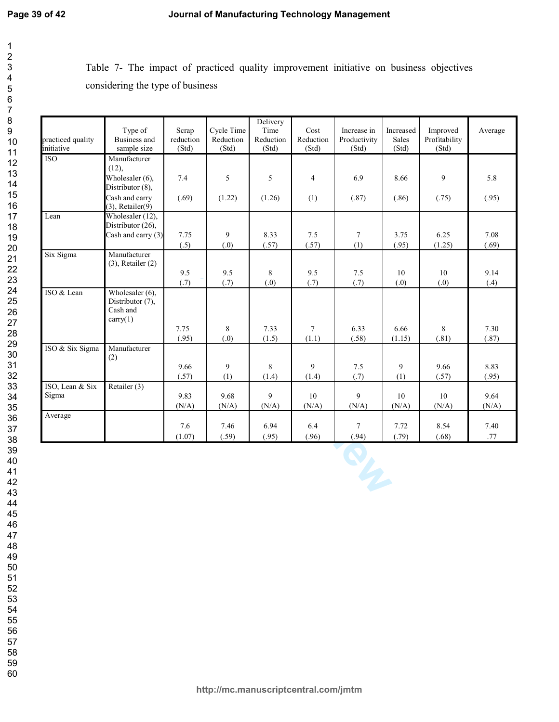|                                  |  |  | Table 7- The impact of practiced quality improvement initiative on business objectives |  |  |
|----------------------------------|--|--|----------------------------------------------------------------------------------------|--|--|
| considering the type of business |  |  |                                                                                        |  |  |

|                                 |                                          |                    |                    | Delivery           |                    |                       |                |                        |         |
|---------------------------------|------------------------------------------|--------------------|--------------------|--------------------|--------------------|-----------------------|----------------|------------------------|---------|
|                                 | Type of                                  | Scrap              | Cycle Time         | Time               | Cost               | Increase in           | Increased      | Improved               | Average |
| practiced quality<br>initiative | Business and<br>sample size              | reduction<br>(Std) | Reduction<br>(Std) | Reduction<br>(Std) | Reduction<br>(Std) | Productivity<br>(Std) | Sales<br>(Std) | Profitability<br>(Std) |         |
| $\overline{ISO}$                | Manufacturer                             |                    |                    |                    |                    |                       |                |                        |         |
|                                 | (12),                                    |                    |                    |                    |                    |                       |                |                        |         |
|                                 | Wholesaler (6),                          | 7.4                | 5                  | 5                  | $\overline{4}$     | 6.9                   | 8.66           | 9                      | 5.8     |
|                                 | Distributor (8),                         |                    |                    |                    |                    |                       |                |                        |         |
|                                 | Cash and carry<br>$(3)$ , Retailer $(9)$ | (.69)              | (1.22)             | (1.26)             | (1)                | (.87)                 | (.86)          | (.75)                  | (.95)   |
| Lean                            | Wholesaler $(12)$ ,                      |                    |                    |                    |                    |                       |                |                        |         |
|                                 | Distributor (26),<br>Cash and carry (3)  | 7.75               | 9                  | 8.33               | 7.5                | $\boldsymbol{7}$      | 3.75           | 6.25                   | 7.08    |
|                                 |                                          | (.5)               | (.0)               | (.57)              | (.57)              | (1)                   | (.95)          | (1.25)                 | (.69)   |
| Six Sigma                       | Manufacturer                             |                    |                    |                    |                    |                       |                |                        |         |
|                                 | $(3)$ , Retailer $(2)$                   |                    |                    |                    |                    |                       |                |                        |         |
|                                 |                                          | 9.5                | 9.5                | 8                  | 9.5                | 7.5                   | 10             | 10                     | 9.14    |
|                                 |                                          | (.7)               | (.7)               | (0.0)              | (.7)               | (.7)                  | (.0)           | (0.)                   | (.4)    |
| ISO & Lean                      | Wholesaler $(6)$ ,<br>Distributor (7),   |                    |                    |                    |                    |                       |                |                        |         |
|                                 | Cash and                                 |                    |                    |                    |                    |                       |                |                        |         |
|                                 | carry(1)                                 |                    |                    |                    |                    |                       |                |                        |         |
|                                 |                                          | 7.75               | $\,$ 8 $\,$        | 7.33               | $\boldsymbol{7}$   | 6.33                  | 6.66           | 8                      | 7.30    |
|                                 |                                          | (.95)              | (.0)               | (1.5)              | (1.1)              | (.58)                 | (1.15)         | (.81)                  | (.87)   |
| ISO & Six Sigma                 | Manufacturer<br>(2)                      |                    |                    |                    |                    |                       |                |                        |         |
|                                 |                                          | 9.66               | 9                  | 8                  | 9                  | $7.5$                 | 9              | 9.66                   | 8.83    |
| ISO, Lean & Six                 | Retailer $(3)$                           | (.57)              | (1)                | (1.4)              | (1.4)              | (.7)                  | (1)            | (.57)                  | (.95)   |
| Sigma                           |                                          | 9.83               | 9.68               | 9                  | 10                 | 9                     | 10             | 10                     | 9.64    |
|                                 |                                          | (N/A)              | (N/A)              | (N/A)              | (N/A)              | (N/A)                 | (N/A)          | (N/A)                  | (N/A)   |
| Average                         |                                          |                    |                    |                    |                    |                       |                |                        |         |
|                                 |                                          | 7.6                | 7.46               | 6.94               | 6.4                | $\tau$                | 7.72           | 8.54                   | 7.40    |
|                                 |                                          | (1.07)             | (.59)              | (.95)              | (.96)              | (.94)                 | (.79)          | (.68)                  | .77     |
|                                 |                                          |                    |                    |                    |                    | OH                    |                |                        |         |
|                                 |                                          |                    |                    |                    |                    |                       |                |                        |         |
|                                 |                                          |                    |                    |                    |                    |                       |                |                        |         |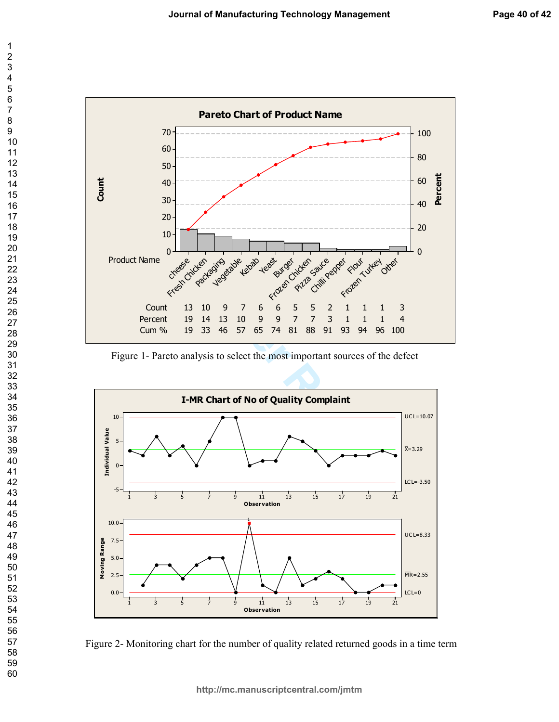

Figure 1- Pareto analysis to select the most important sources of the defect



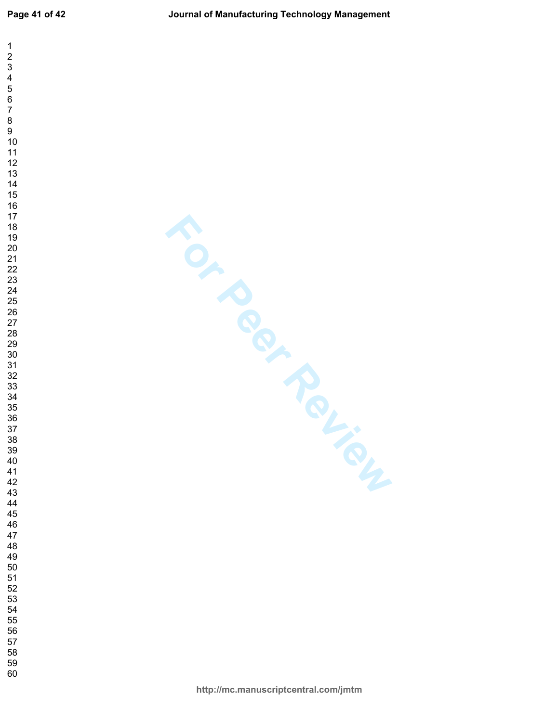$\mathbf 1$  $\overline{2}$  $\overline{3}$  $\overline{\mathbf{4}}$  $\overline{7}$